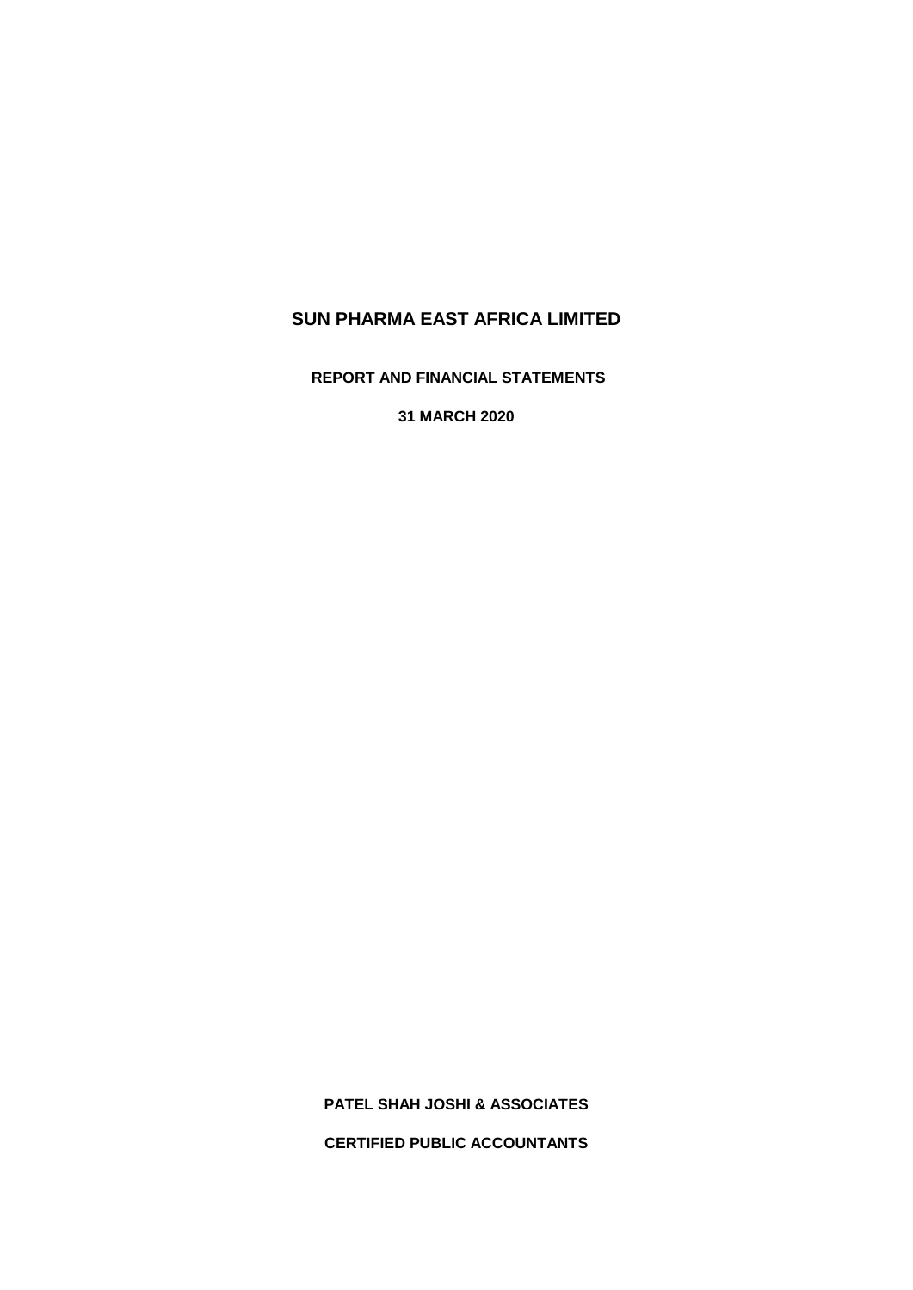**REPORT AND FINANCIAL STATEMENTS**

**31 MARCH 2020**

**PATEL SHAH JOSHI & ASSOCIATES**

**CERTIFIED PUBLIC ACCOUNTANTS**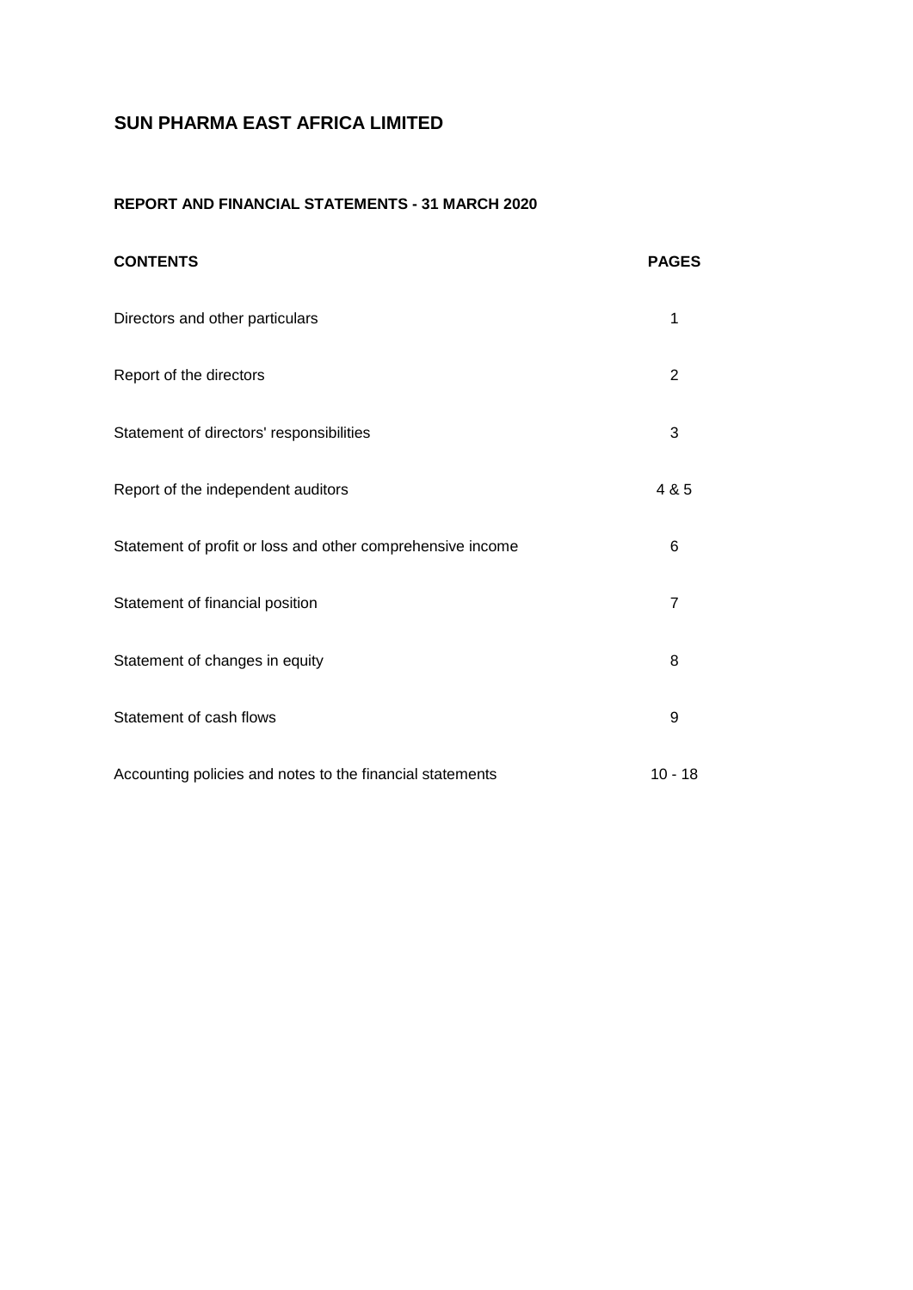### **REPORT AND FINANCIAL STATEMENTS - 31 MARCH 2020**

| <b>CONTENTS</b>                                            | <b>PAGES</b> |
|------------------------------------------------------------|--------------|
| Directors and other particulars                            | 1            |
| Report of the directors                                    | 2            |
| Statement of directors' responsibilities                   | 3            |
| Report of the independent auditors                         | 4 & 5        |
| Statement of profit or loss and other comprehensive income | 6            |
| Statement of financial position                            | 7            |
| Statement of changes in equity                             | 8            |
| Statement of cash flows                                    | 9            |
| Accounting policies and notes to the financial statements  | $10 - 18$    |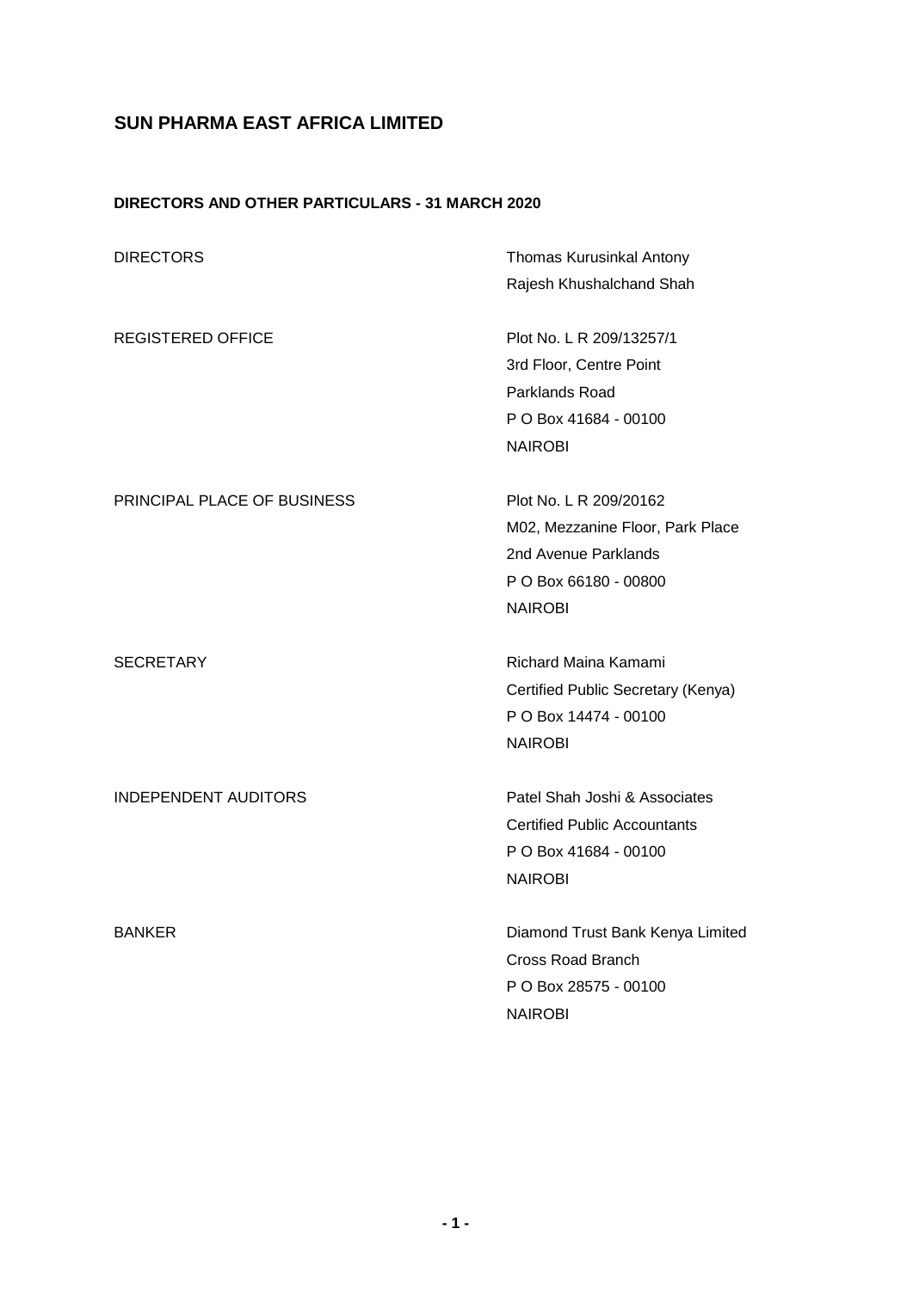## **DIRECTORS AND OTHER PARTICULARS - 31 MARCH 2020**

| <b>DIRECTORS</b>            | Thomas Kurusinkal Antony<br>Rajesh Khushalchand Shah                                                                          |
|-----------------------------|-------------------------------------------------------------------------------------------------------------------------------|
| <b>REGISTERED OFFICE</b>    | Plot No. L R 209/13257/1<br>3rd Floor, Centre Point<br>Parklands Road<br>P O Box 41684 - 00100<br><b>NAIROBI</b>              |
| PRINCIPAL PLACE OF BUSINESS | Plot No. L R 209/20162<br>M02, Mezzanine Floor, Park Place<br>2nd Avenue Parklands<br>P O Box 66180 - 00800<br><b>NAIROBI</b> |
| <b>SECRETARY</b>            | Richard Maina Kamami<br>Certified Public Secretary (Kenya)<br>P O Box 14474 - 00100<br><b>NAIROBI</b>                         |
| <b>INDEPENDENT AUDITORS</b> | Patel Shah Joshi & Associates<br><b>Certified Public Accountants</b><br>P O Box 41684 - 00100<br><b>NAIROBI</b>               |
| <b>BANKER</b>               | Diamond Trust Bank Kenya Limited<br><b>Cross Road Branch</b><br>P O Box 28575 - 00100<br><b>NAIROBI</b>                       |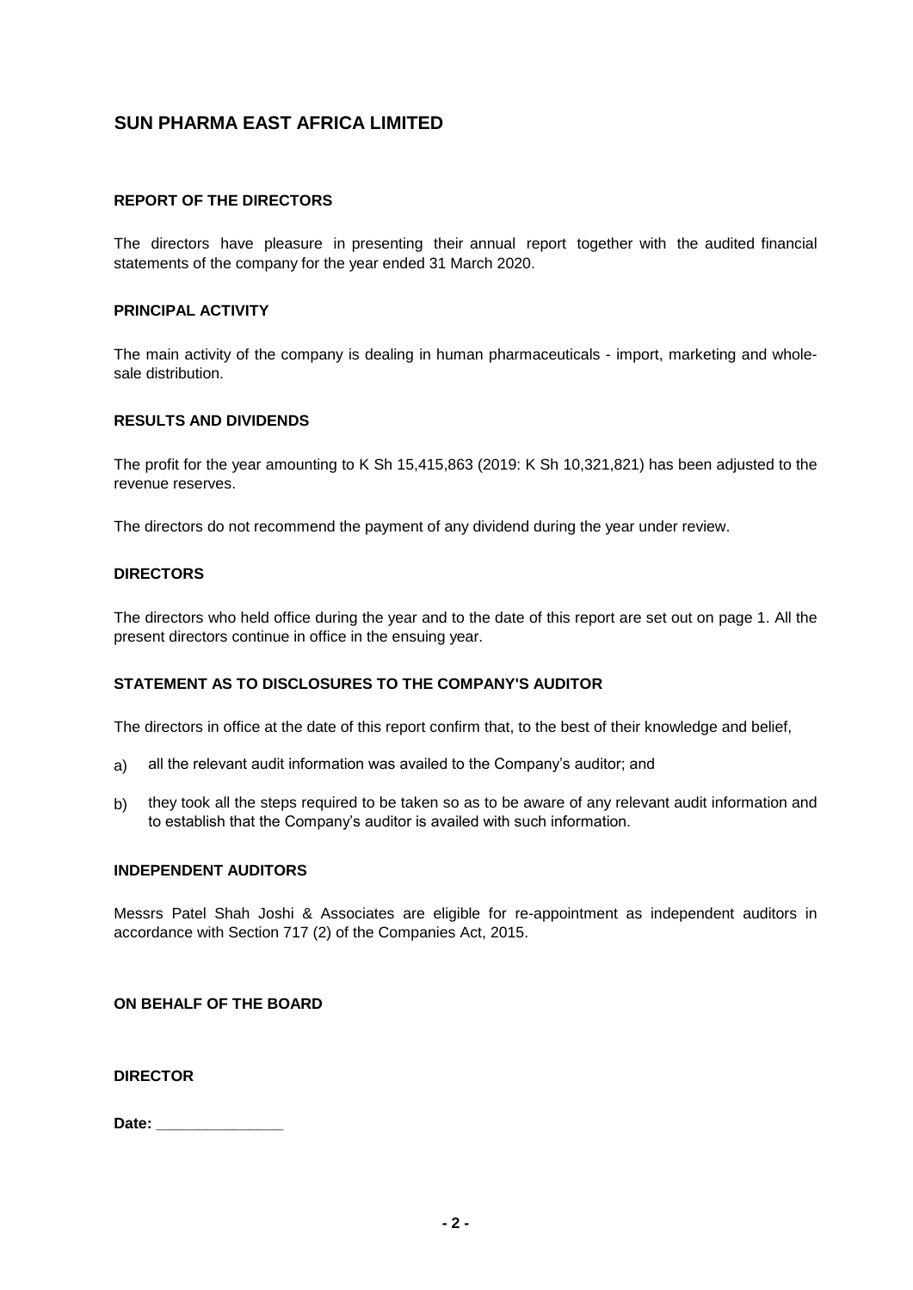### **REPORT OF THE DIRECTORS**

The directors have pleasure in presenting their annual report together with the audited financial statements of the company for the year ended 31 March 2020.

#### **PRINCIPAL ACTIVITY**

The main activity of the company is dealing in human pharmaceuticals - import, marketing and wholesale distribution.

### **RESULTS AND DIVIDENDS**

The profit for the year amounting to K Sh 15,415,863 (2019: K Sh 10,321,821) has been adjusted to the revenue reserves.

The directors do not recommend the payment of any dividend during the year under review.

#### **DIRECTORS**

The directors who held office during the year and to the date of this report are set out on page 1. All the present directors continue in office in the ensuing year.

### **STATEMENT AS TO DISCLOSURES TO THE COMPANY'S AUDITOR**

The directors in office at the date of this report confirm that, to the best of their knowledge and belief,

- a) all the relevant audit information was availed to the Company's auditor; and
- b) they took all the steps required to be taken so as to be aware of any relevant audit information and to establish that the Company's auditor is availed with such information.

#### **INDEPENDENT AUDITORS**

Messrs Patel Shah Joshi & Associates are eligible for re-appointment as independent auditors in accordance with Section 717 (2) of the Companies Act, 2015.

**ON BEHALF OF THE BOARD**

**DIRECTOR**

| Date: |  |  |
|-------|--|--|
|-------|--|--|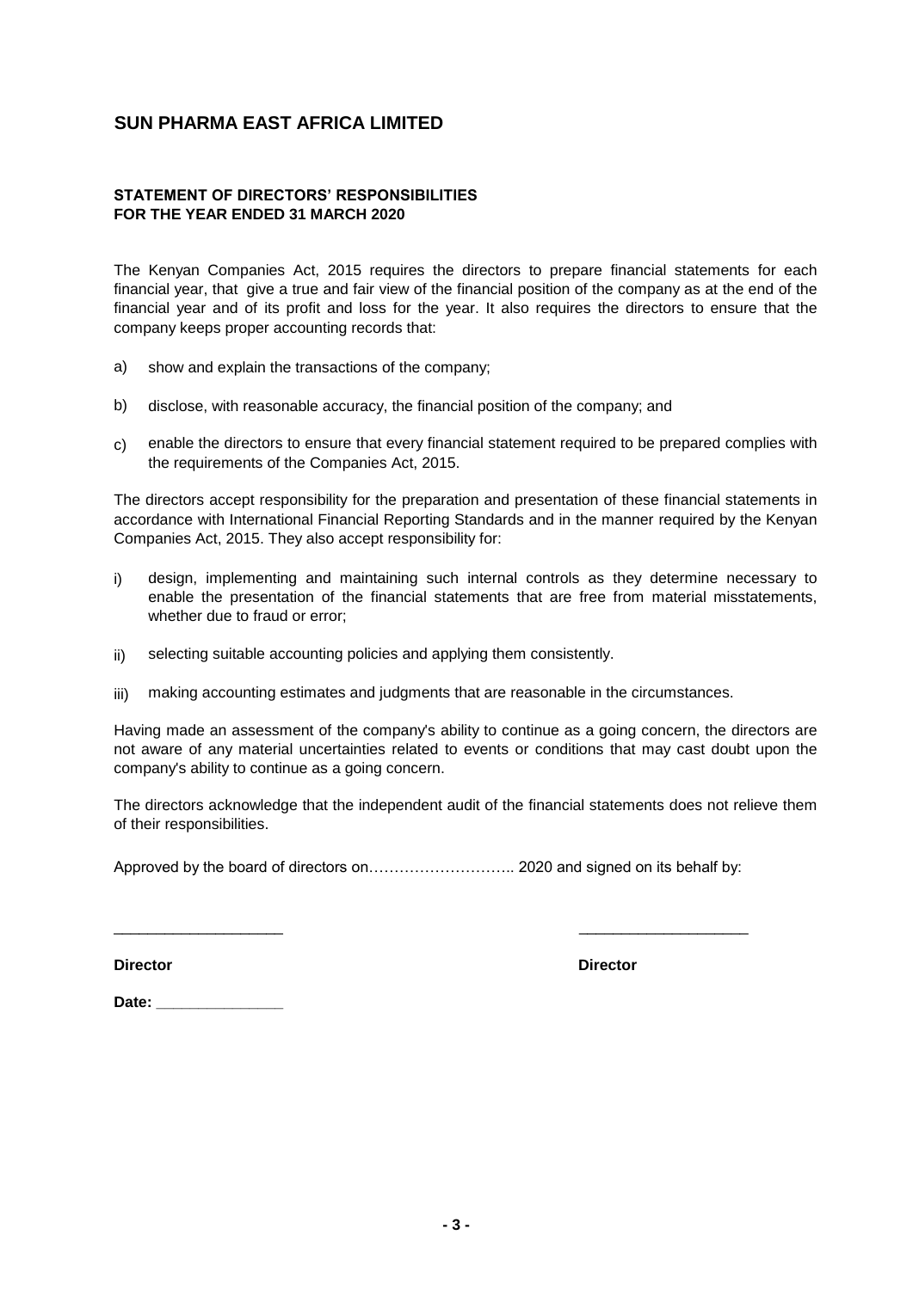### **STATEMENT OF DIRECTORS' RESPONSIBILITIES FOR THE YEAR ENDED 31 MARCH 2020**

The Kenyan Companies Act, 2015 requires the directors to prepare financial statements for each financial year, that give a true and fair view of the financial position of the company as at the end of the financial year and of its profit and loss for the year. It also requires the directors to ensure that the company keeps proper accounting records that:

- a) show and explain the transactions of the company;
- b) disclose, with reasonable accuracy, the financial position of the company; and
- c) enable the directors to ensure that every financial statement required to be prepared complies with the requirements of the Companies Act, 2015.

The directors accept responsibility for the preparation and presentation of these financial statements in accordance with International Financial Reporting Standards and in the manner required by the Kenyan Companies Act, 2015. They also accept responsibility for:

- i) design, implementing and maintaining such internal controls as they determine necessary to enable the presentation of the financial statements that are free from material misstatements, whether due to fraud or error;
- ii) selecting suitable accounting policies and applying them consistently.
- iii) making accounting estimates and judgments that are reasonable in the circumstances.

Having made an assessment of the company's ability to continue as a going concern, the directors are not aware of any material uncertainties related to events or conditions that may cast doubt upon the company's ability to continue as a going concern.

The directors acknowledge that the independent audit of the financial statements does not relieve them of their responsibilities.

Approved by the board of directors on……………………….. 2020 and signed on its behalf by:

 $\frac{1}{2}$  ,  $\frac{1}{2}$  ,  $\frac{1}{2}$  ,  $\frac{1}{2}$  ,  $\frac{1}{2}$  ,  $\frac{1}{2}$  ,  $\frac{1}{2}$  ,  $\frac{1}{2}$  ,  $\frac{1}{2}$  ,  $\frac{1}{2}$  ,  $\frac{1}{2}$  ,  $\frac{1}{2}$  ,  $\frac{1}{2}$  ,  $\frac{1}{2}$  ,  $\frac{1}{2}$  ,  $\frac{1}{2}$  ,  $\frac{1}{2}$  ,  $\frac{1}{2}$  ,  $\frac{1$ 

**Director Director**

**Date: \_\_\_\_\_\_\_\_\_\_\_\_\_\_\_**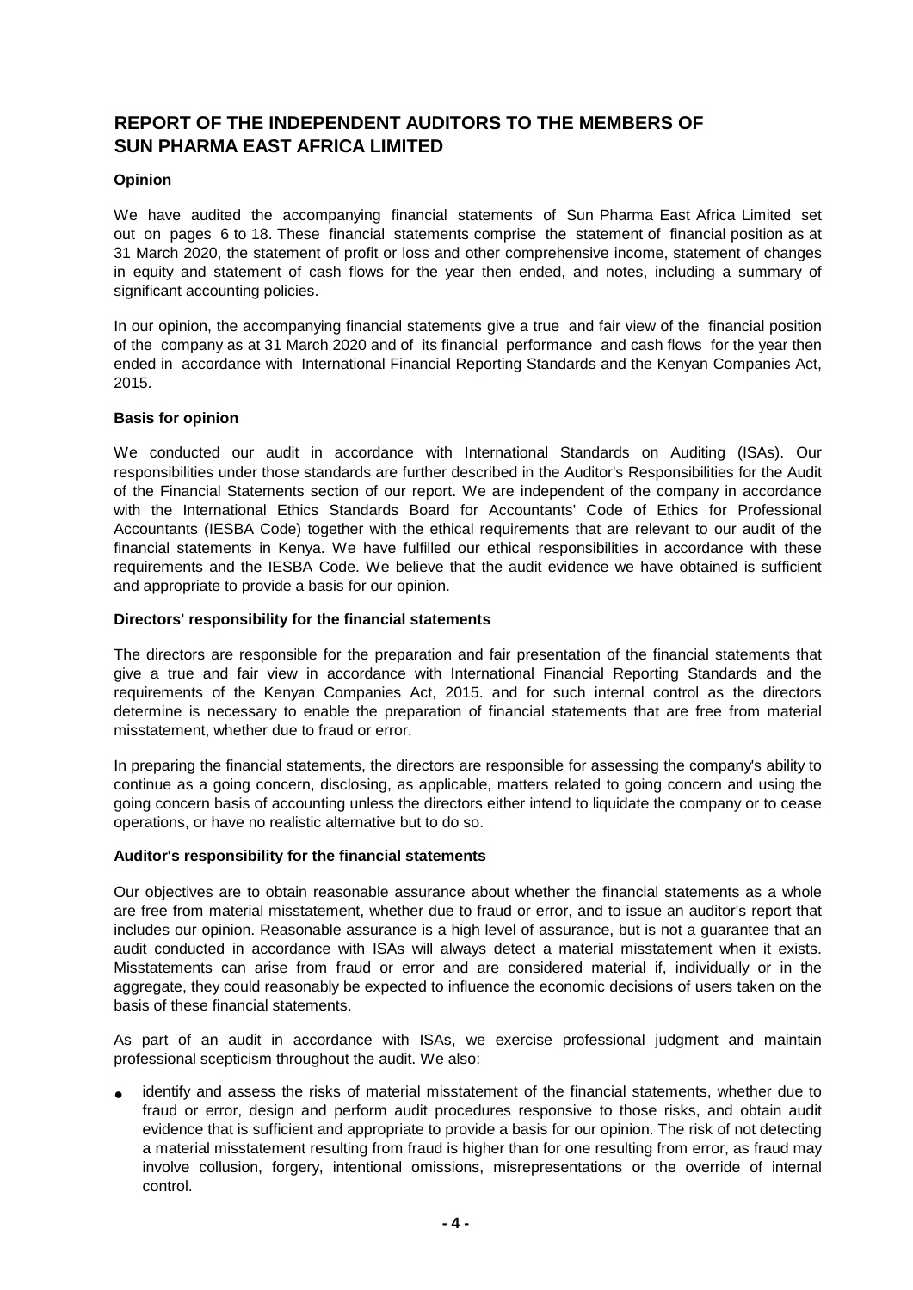## **REPORT OF THE INDEPENDENT AUDITORS TO THE MEMBERS OF SUN PHARMA EAST AFRICA LIMITED**

#### **Opinion**

We have audited the accompanying financial statements of Sun Pharma East Africa Limited set out on pages 6 to 18. These financial statements comprise the statement of financial position as at 31 March 2020, the statement of profit or loss and other comprehensive income, statement of changes in equity and statement of cash flows for the year then ended, and notes, including a summary of significant accounting policies.

In our opinion, the accompanying financial statements give a true and fair view of the financial position of the company as at 31 March 2020 and of its financial performance and cash flows for the year then ended in accordance with International Financial Reporting Standards and the Kenyan Companies Act, 2015.

#### **Basis for opinion**

We conducted our audit in accordance with International Standards on Auditing (ISAs). Our responsibilities under those standards are further described in the Auditor's Responsibilities for the Audit of the Financial Statements section of our report. We are independent of the company in accordance with the International Ethics Standards Board for Accountants' Code of Ethics for Professional Accountants (IESBA Code) together with the ethical requirements that are relevant to our audit of the financial statements in Kenya. We have fulfilled our ethical responsibilities in accordance with these requirements and the IESBA Code. We believe that the audit evidence we have obtained is sufficient and appropriate to provide a basis for our opinion.

#### **Directors' responsibility for the financial statements**

The directors are responsible for the preparation and fair presentation of the financial statements that give a true and fair view in accordance with International Financial Reporting Standards and the requirements of the Kenyan Companies Act, 2015. and for such internal control as the directors determine is necessary to enable the preparation of financial statements that are free from material misstatement, whether due to fraud or error.

In preparing the financial statements, the directors are responsible for assessing the company's ability to continue as a going concern, disclosing, as applicable, matters related to going concern and using the going concern basis of accounting unless the directors either intend to liquidate the company or to cease operations, or have no realistic alternative but to do so.

### **Auditor's responsibility for the financial statements**

Our objectives are to obtain reasonable assurance about whether the financial statements as a whole are free from material misstatement, whether due to fraud or error, and to issue an auditor's report that includes our opinion. Reasonable assurance is a high level of assurance, but is not a guarantee that an audit conducted in accordance with ISAs will always detect a material misstatement when it exists. Misstatements can arise from fraud or error and are considered material if, individually or in the aggregate, they could reasonably be expected to influence the economic decisions of users taken on the basis of these financial statements.

As part of an audit in accordance with ISAs, we exercise professional judgment and maintain professional scepticism throughout the audit. We also:

**●** identify and assess the risks of material misstatement of the financial statements, whether due to fraud or error, design and perform audit procedures responsive to those risks, and obtain audit evidence that is sufficient and appropriate to provide a basis for our opinion. The risk of not detecting a material misstatement resulting from fraud is higher than for one resulting from error, as fraud may involve collusion, forgery, intentional omissions, misrepresentations or the override of internal control.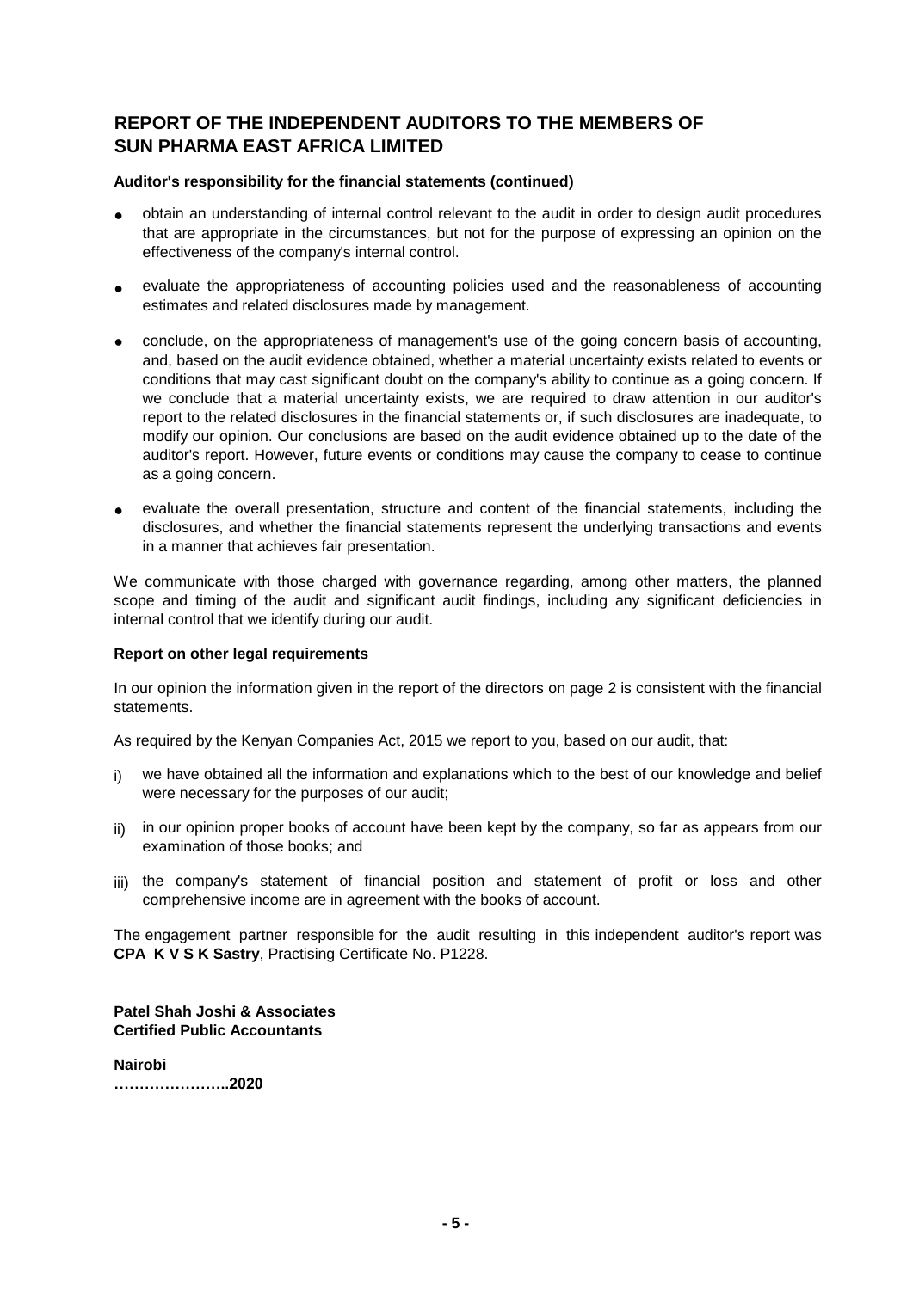## **REPORT OF THE INDEPENDENT AUDITORS TO THE MEMBERS OF SUN PHARMA EAST AFRICA LIMITED**

#### **Auditor's responsibility for the financial statements (continued)**

- **●** obtain an understanding of internal control relevant to the audit in order to design audit procedures that are appropriate in the circumstances, but not for the purpose of expressing an opinion on the effectiveness of the company's internal control.
- **●** evaluate the appropriateness of accounting policies used and the reasonableness of accounting estimates and related disclosures made by management.
- **●** conclude, on the appropriateness of management's use of the going concern basis of accounting, and, based on the audit evidence obtained, whether a material uncertainty exists related to events or conditions that may cast significant doubt on the company's ability to continue as a going concern. If we conclude that a material uncertainty exists, we are required to draw attention in our auditor's report to the related disclosures in the financial statements or, if such disclosures are inadequate, to modify our opinion. Our conclusions are based on the audit evidence obtained up to the date of the auditor's report. However, future events or conditions may cause the company to cease to continue as a going concern.
- **●** evaluate the overall presentation, structure and content of the financial statements, including the disclosures, and whether the financial statements represent the underlying transactions and events in a manner that achieves fair presentation.

We communicate with those charged with governance regarding, among other matters, the planned scope and timing of the audit and significant audit findings, including any significant deficiencies in internal control that we identify during our audit.

#### **Report on other legal requirements**

In our opinion the information given in the report of the directors on page 2 is consistent with the financial statements.

As required by the Kenyan Companies Act, 2015 we report to you, based on our audit, that:

- i) we have obtained all the information and explanations which to the best of our knowledge and belief were necessary for the purposes of our audit;
- ii) in our opinion proper books of account have been kept by the company, so far as appears from our examination of those books; and
- iii) the company's statement of financial position and statement of profit or loss and other comprehensive income are in agreement with the books of account.

The engagement partner responsible for the audit resulting in this independent auditor's report was **CPA K V S K Sastry**, Practising Certificate No. P1228.

**Patel Shah Joshi & Associates Certified Public Accountants** 

**Nairobi …………………..2020**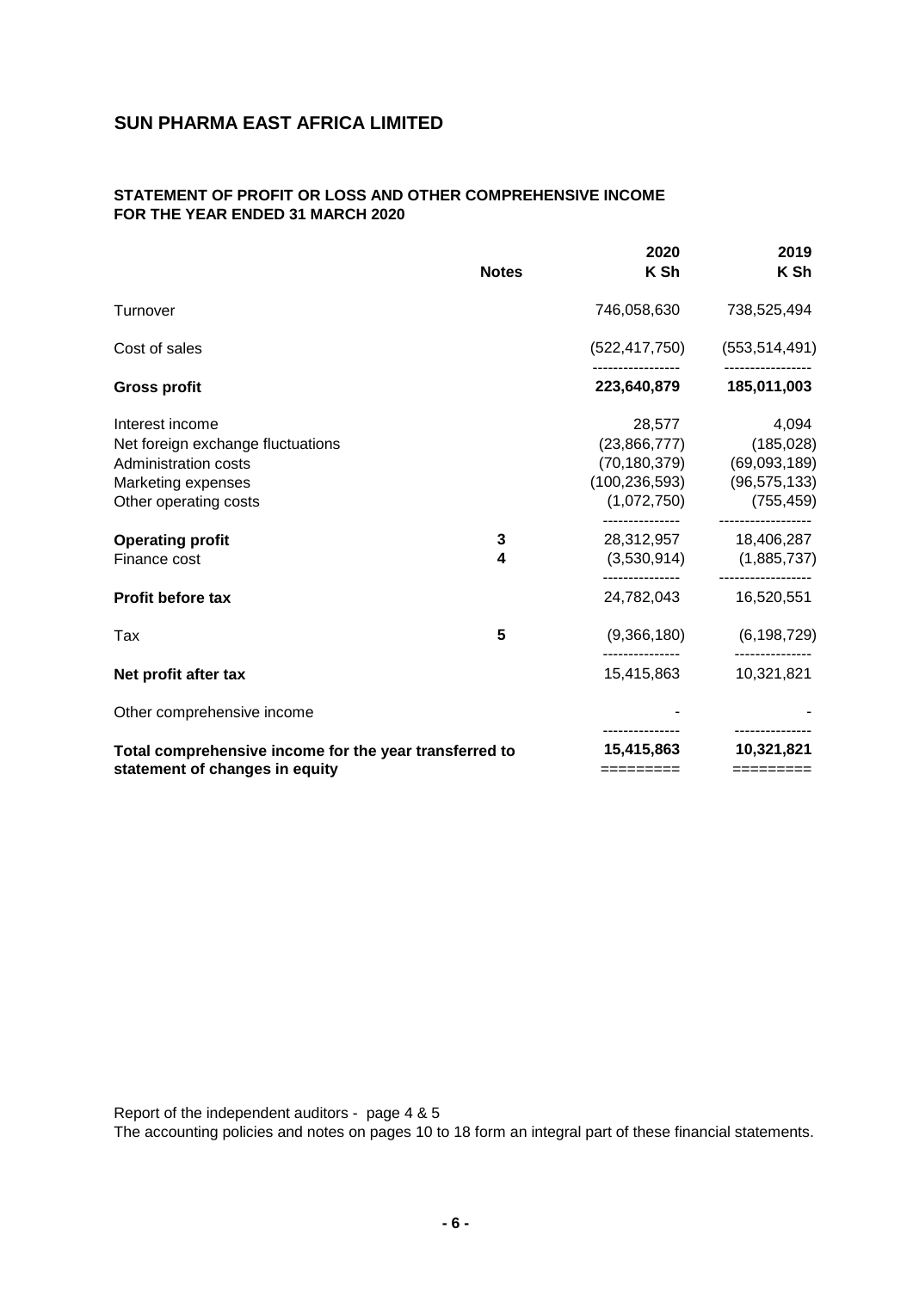### **STATEMENT OF PROFIT OR LOSS AND OTHER COMPREHENSIVE INCOME FOR THE YEAR ENDED 31 MARCH 2020**

|                                                                                                                                    | <b>Notes</b> | 2020<br>K Sh                          | 2019<br>K Sh                                                                                                 |  |
|------------------------------------------------------------------------------------------------------------------------------------|--------------|---------------------------------------|--------------------------------------------------------------------------------------------------------------|--|
| Turnover                                                                                                                           |              | 746,058,630                           | 738,525,494                                                                                                  |  |
| Cost of sales                                                                                                                      |              | (522,417,750)                         | (553, 514, 491)                                                                                              |  |
| <b>Gross profit</b>                                                                                                                |              | 223,640,879                           | 185,011,003                                                                                                  |  |
| Interest income<br>Net foreign exchange fluctuations<br><b>Administration costs</b><br>Marketing expenses<br>Other operating costs |              | 28,577<br>(23,866,777)<br>(1,072,750) | 4,094<br>(185, 028)<br>$(70, 180, 379)$ $(69, 093, 189)$<br>$(100, 236, 593)$ $(96, 575, 133)$<br>(755, 459) |  |
| <b>Operating profit</b><br>Finance cost                                                                                            | 3<br>4       | 28,312,957<br>(3,530,914)             | 18,406,287<br>(1,885,737)                                                                                    |  |
| <b>Profit before tax</b>                                                                                                           |              | 24,782,043                            | 16,520,551                                                                                                   |  |
| Tax                                                                                                                                | 5            | (9,366,180)<br>. <b>.</b> .           | (6, 198, 729)                                                                                                |  |
| Net profit after tax                                                                                                               |              | 15,415,863                            | 10,321,821                                                                                                   |  |
| Other comprehensive income                                                                                                         |              |                                       |                                                                                                              |  |
| Total comprehensive income for the year transferred to<br>statement of changes in equity                                           |              | 15,415,863                            | 10,321,821                                                                                                   |  |

Report of the independent auditors - page 4 & 5 The accounting policies and notes on pages 10 to 18 form an integral part of these financial statements.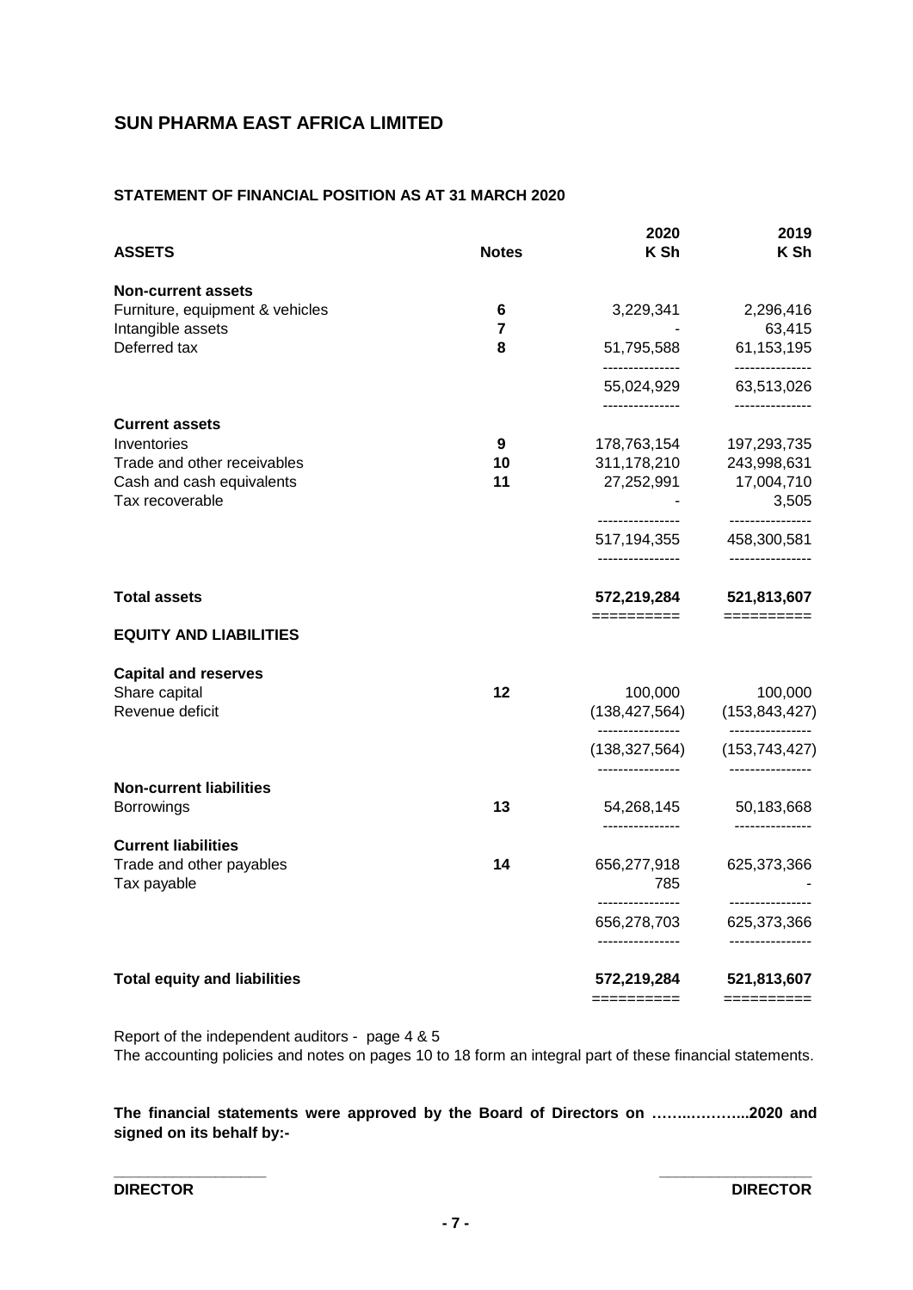### **STATEMENT OF FINANCIAL POSITION AS AT 31 MARCH 2020**

| <b>ASSETS</b>                                                | <b>Notes</b>   | 2020<br>K Sh                        | 2019<br>K Sh                        |
|--------------------------------------------------------------|----------------|-------------------------------------|-------------------------------------|
|                                                              |                |                                     |                                     |
| <b>Non-current assets</b><br>Furniture, equipment & vehicles | 6              | 3,229,341                           | 2,296,416                           |
| Intangible assets                                            | $\overline{7}$ |                                     | 63,415                              |
| Deferred tax                                                 | 8              | 51,795,588                          | 61, 153, 195                        |
|                                                              |                | ---------------<br>55,024,929       | ---------------<br>63,513,026       |
|                                                              |                | ---------------                     | ---------------                     |
| <b>Current assets</b>                                        |                |                                     |                                     |
| Inventories                                                  | 9              | 178,763,154                         | 197,293,735                         |
| Trade and other receivables                                  | 10             | 311,178,210                         | 243,998,631                         |
| Cash and cash equivalents                                    | 11             | 27,252,991                          | 17,004,710                          |
| Tax recoverable                                              |                | ----------------                    | 3,505<br>----------------           |
|                                                              |                | 517,194,355                         | 458,300,581                         |
|                                                              |                | ----------------                    | ----------------                    |
| <b>Total assets</b>                                          |                | 572,219,284                         | 521,813,607                         |
| <b>EQUITY AND LIABILITIES</b>                                |                | ==========                          | $=$ ==========                      |
| <b>Capital and reserves</b>                                  |                |                                     |                                     |
| Share capital                                                | 12             | 100,000                             | 100,000                             |
| Revenue deficit                                              |                |                                     | $(138, 427, 564)$ $(153, 843, 427)$ |
|                                                              |                | ----------------<br>(138, 327, 564) | ----------------<br>(153, 743, 427) |
|                                                              |                | ----------------                    | ----------------                    |
| <b>Non-current liabilities</b>                               |                |                                     |                                     |
| <b>Borrowings</b>                                            | 13             | 54,268,145<br>---------------       | 50,183,668<br>---------------       |
| <b>Current liabilities</b>                                   |                |                                     |                                     |
| Trade and other payables                                     | 14             | 656,277,918                         | 625,373,366                         |
| Tax payable                                                  |                | 785<br>----------------             | ----------------                    |
|                                                              |                | 656,278,703                         | 625,373,366                         |
|                                                              |                | ----------------                    | ----------------                    |
| <b>Total equity and liabilities</b>                          |                | 572,219,284                         | 521,813,607                         |
|                                                              |                | ==========                          | $=$ =========                       |

Report of the independent auditors - page 4 & 5

The accounting policies and notes on pages 10 to 18 form an integral part of these financial statements.

**The financial statements were approved by the Board of Directors on ……..………...2020 and signed on its behalf by:-**

**\_\_\_\_\_\_\_\_\_\_\_\_\_\_\_\_\_\_ \_\_\_\_\_\_\_\_\_\_\_\_\_\_\_\_\_\_**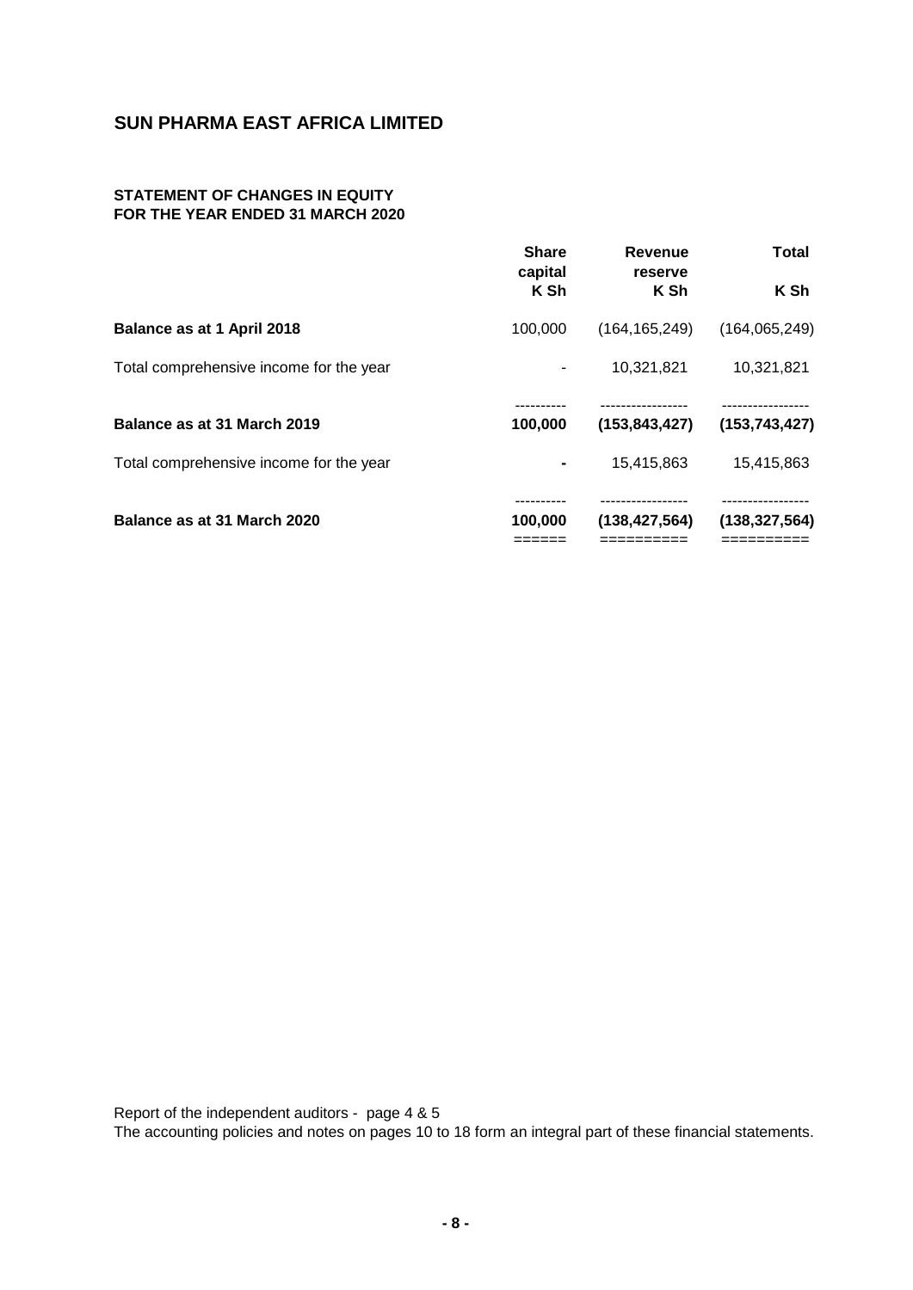### **STATEMENT OF CHANGES IN EQUITY FOR THE YEAR ENDED 31 MARCH 2020**

|                                         | <b>Share</b><br>capital<br>K Sh | Revenue<br>reserve<br>K Sh | <b>Total</b><br>K Sh |
|-----------------------------------------|---------------------------------|----------------------------|----------------------|
| Balance as at 1 April 2018              | 100,000                         | (164, 165, 249)            | (164, 065, 249)      |
| Total comprehensive income for the year |                                 | 10,321,821                 | 10,321,821           |
| Balance as at 31 March 2019             | 100,000                         | (153, 843, 427)            | (153, 743, 427)      |
| Total comprehensive income for the year |                                 | 15,415,863                 | 15,415,863           |
| Balance as at 31 March 2020             | 100,000                         | (138, 427, 564)            | (138, 327, 564)      |

Report of the independent auditors - page 4 & 5 The accounting policies and notes on pages 10 to 18 form an integral part of these financial statements.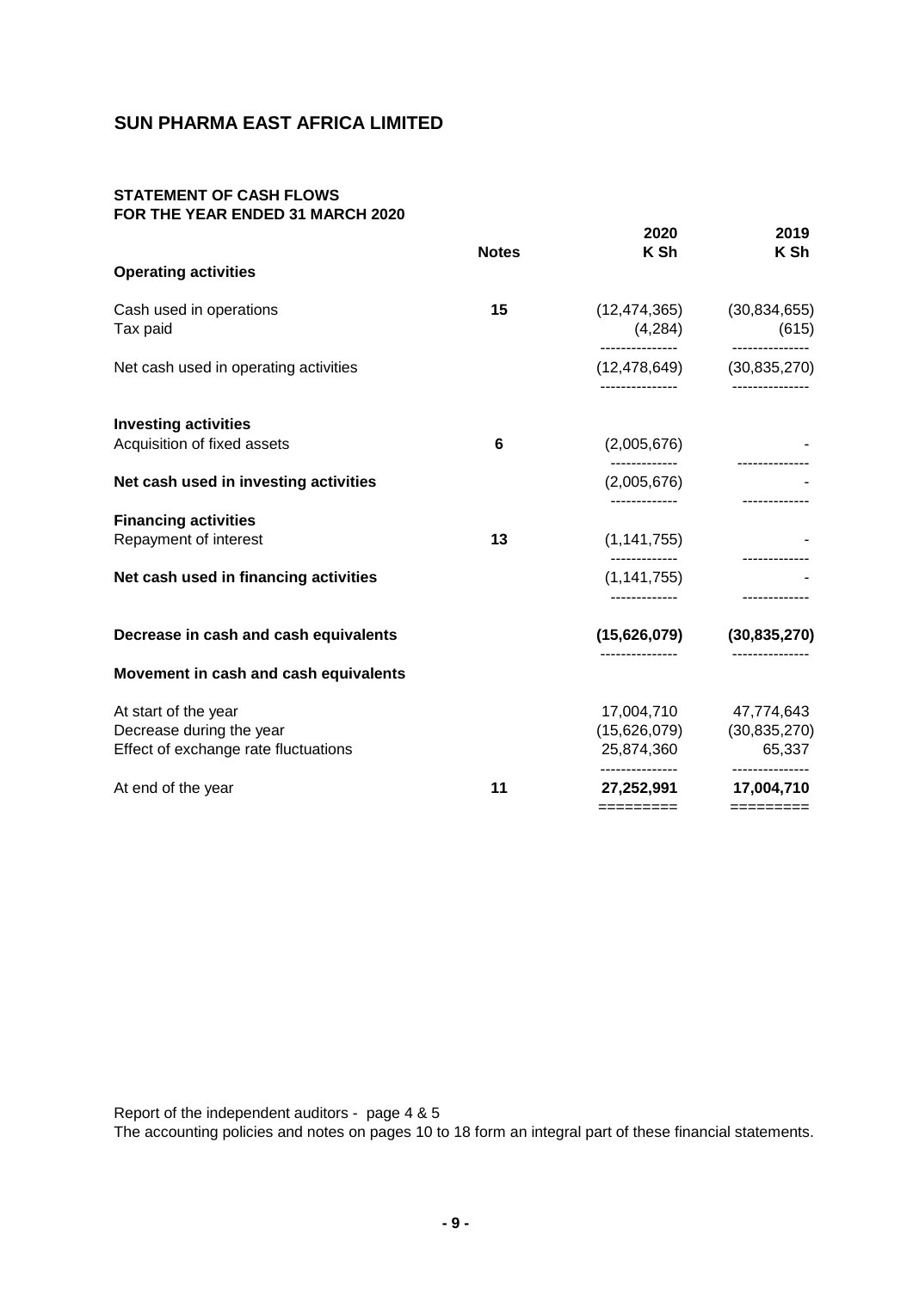### **STATEMENT OF CASH FLOWS FOR THE YEAR ENDED 31 MARCH 2020**

|                                       | <b>Notes</b> | 2020<br>K Sh                      | 2019<br>K Sh                                                  |
|---------------------------------------|--------------|-----------------------------------|---------------------------------------------------------------|
| <b>Operating activities</b>           |              |                                   |                                                               |
| Cash used in operations<br>Tax paid   | 15           | (4,284)                           | $(12, 474, 365)$ $(30, 834, 655)$<br>(615)<br>--------------- |
| Net cash used in operating activities |              | (12, 478, 649)<br>--------------- | (30, 835, 270)<br>---------------                             |
| <b>Investing activities</b>           |              |                                   |                                                               |
| Acquisition of fixed assets           | 6            | (2,005,676)                       |                                                               |
| Net cash used in investing activities |              | (2,005,676)<br>-------------      | -------------                                                 |
| <b>Financing activities</b>           |              |                                   |                                                               |
| Repayment of interest                 | 13           | (1, 141, 755)                     |                                                               |
| Net cash used in financing activities |              | (1, 141, 755)<br>-------------    |                                                               |
| Decrease in cash and cash equivalents |              | (15,626,079)                      | (30, 835, 270)                                                |
| Movement in cash and cash equivalents |              |                                   |                                                               |
| At start of the year                  |              | 17,004,710                        | 47,774,643                                                    |
| Decrease during the year              |              | (15,626,079)                      | (30, 835, 270)                                                |
| Effect of exchange rate fluctuations  |              | 25,874,360<br>---------------     | 65,337<br>-----------                                         |
| At end of the year                    | 11           | 27,252,991                        | 17,004,710                                                    |
|                                       |              |                                   | $=$ ========                                                  |

Report of the independent auditors - page 4 & 5 The accounting policies and notes on pages 10 to 18 form an integral part of these financial statements.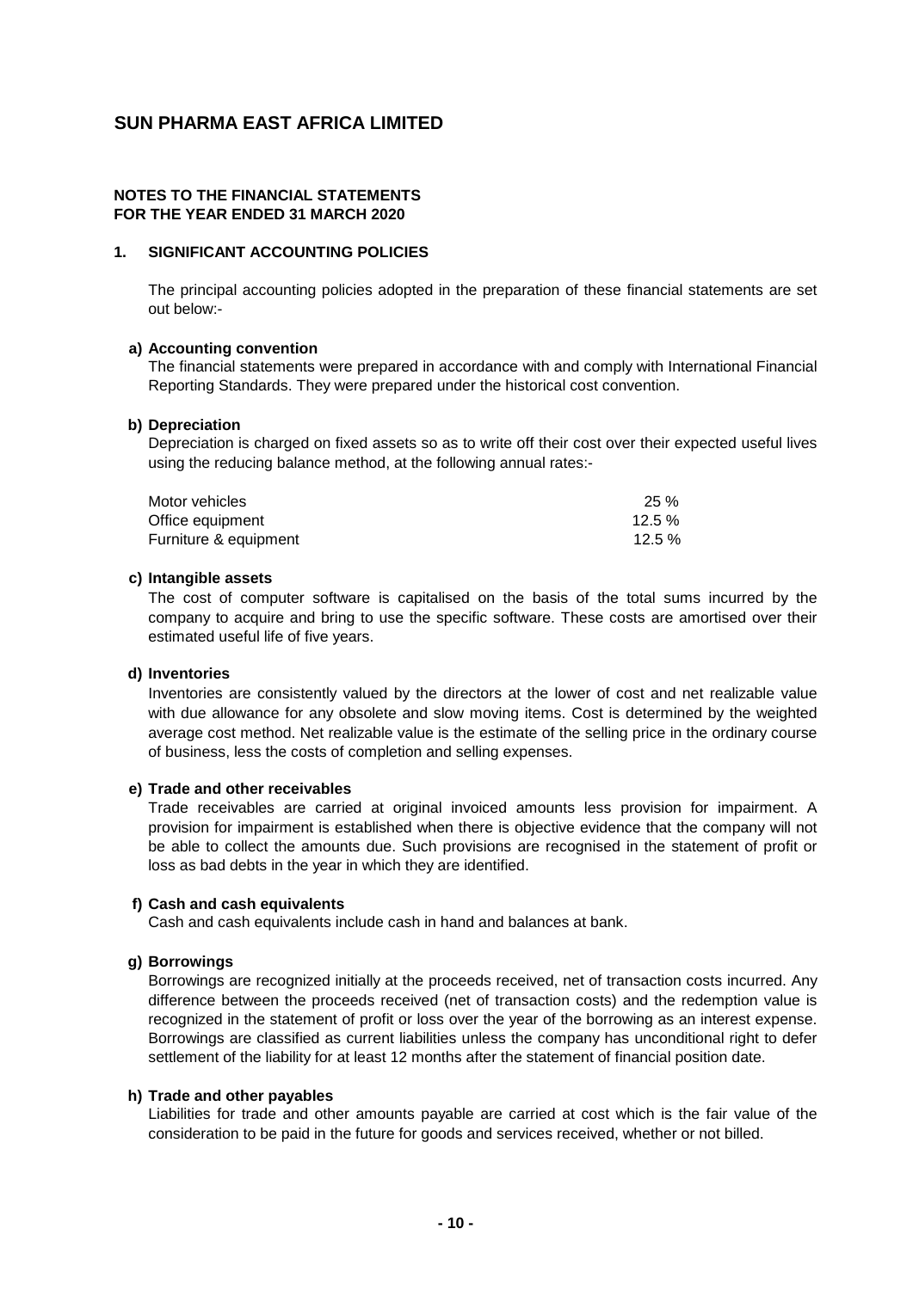### **NOTES TO THE FINANCIAL STATEMENTS FOR THE YEAR ENDED 31 MARCH 2020**

#### **1. SIGNIFICANT ACCOUNTING POLICIES**

The principal accounting policies adopted in the preparation of these financial statements are set out below:-

#### **a) Accounting convention**

The financial statements were prepared in accordance with and comply with International Financial Reporting Standards. They were prepared under the historical cost convention.

#### **b) Depreciation**

Depreciation is charged on fixed assets so as to write off their cost over their expected useful lives using the reducing balance method, at the following annual rates:-

| Motor vehicles        | $25 \%$  |
|-----------------------|----------|
| Office equipment      | $12.5\%$ |
| Furniture & equipment | 12.5%    |

#### **c) Intangible assets**

The cost of computer software is capitalised on the basis of the total sums incurred by the company to acquire and bring to use the specific software. These costs are amortised over their estimated useful life of five years.

#### **d) Inventories**

Inventories are consistently valued by the directors at the lower of cost and net realizable value with due allowance for any obsolete and slow moving items. Cost is determined by the weighted average cost method. Net realizable value is the estimate of the selling price in the ordinary course of business, less the costs of completion and selling expenses.

#### **e) Trade and other receivables**

Trade receivables are carried at original invoiced amounts less provision for impairment. A provision for impairment is established when there is objective evidence that the company will not be able to collect the amounts due. Such provisions are recognised in the statement of profit or loss as bad debts in the year in which they are identified.

#### **f) Cash and cash equivalents**

Cash and cash equivalents include cash in hand and balances at bank.

#### **g) Borrowings**

Borrowings are recognized initially at the proceeds received, net of transaction costs incurred. Any difference between the proceeds received (net of transaction costs) and the redemption value is recognized in the statement of profit or loss over the year of the borrowing as an interest expense. Borrowings are classified as current liabilities unless the company has unconditional right to defer settlement of the liability for at least 12 months after the statement of financial position date.

#### **h) Trade and other payables**

Liabilities for trade and other amounts payable are carried at cost which is the fair value of the consideration to be paid in the future for goods and services received, whether or not billed.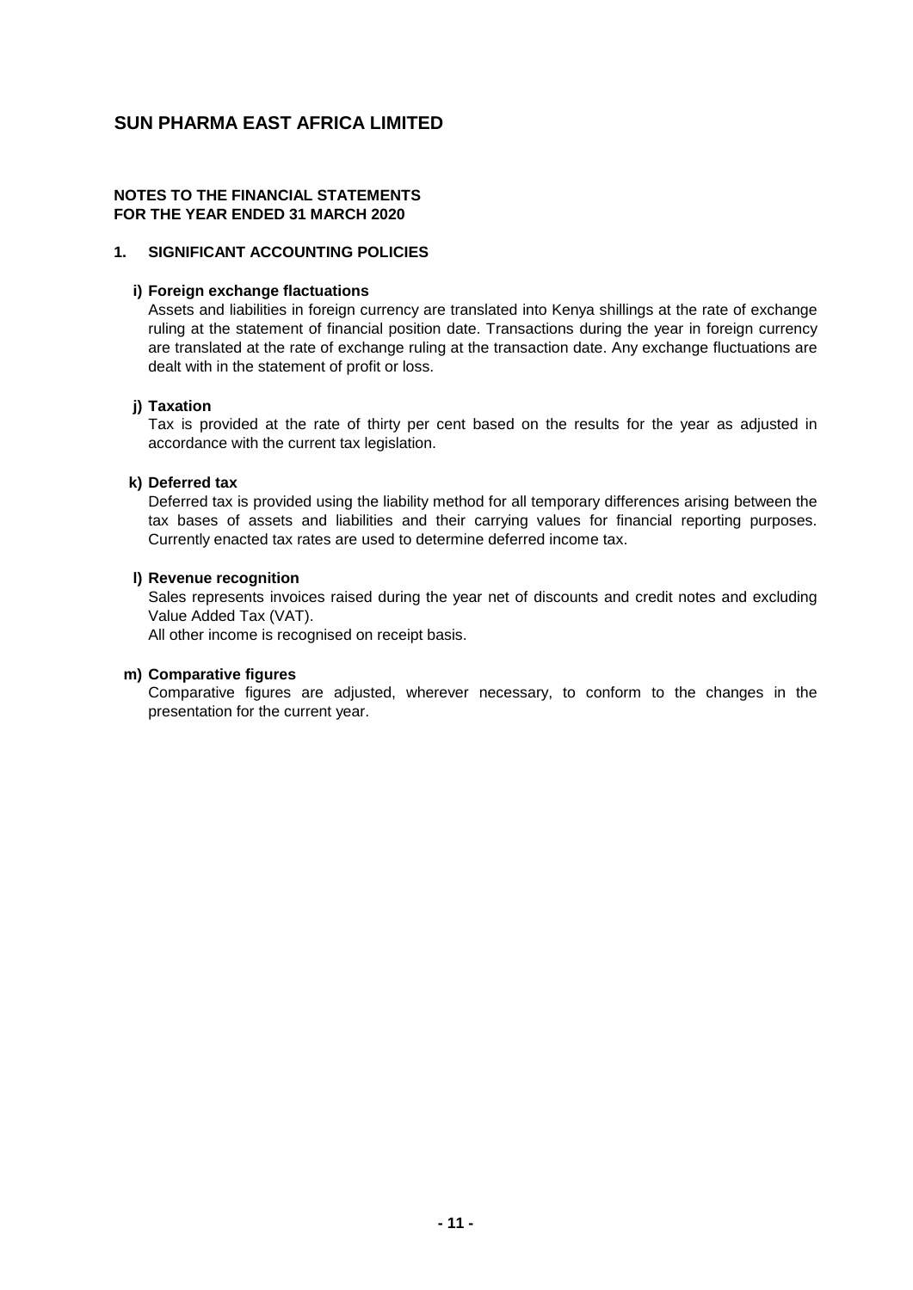### **NOTES TO THE FINANCIAL STATEMENTS FOR THE YEAR ENDED 31 MARCH 2020**

#### **1. SIGNIFICANT ACCOUNTING POLICIES**

#### **i) Foreign exchange flactuations**

Assets and liabilities in foreign currency are translated into Kenya shillings at the rate of exchange ruling at the statement of financial position date. Transactions during the year in foreign currency are translated at the rate of exchange ruling at the transaction date. Any exchange fluctuations are dealt with in the statement of profit or loss.

#### **j) Taxation**

Tax is provided at the rate of thirty per cent based on the results for the year as adjusted in accordance with the current tax legislation.

#### **k) Deferred tax**

Deferred tax is provided using the liability method for all temporary differences arising between the tax bases of assets and liabilities and their carrying values for financial reporting purposes. Currently enacted tax rates are used to determine deferred income tax.

#### **l) Revenue recognition**

Sales represents invoices raised during the year net of discounts and credit notes and excluding Value Added Tax (VAT).

All other income is recognised on receipt basis.

#### **m) Comparative figures**

Comparative figures are adjusted, wherever necessary, to conform to the changes in the presentation for the current year.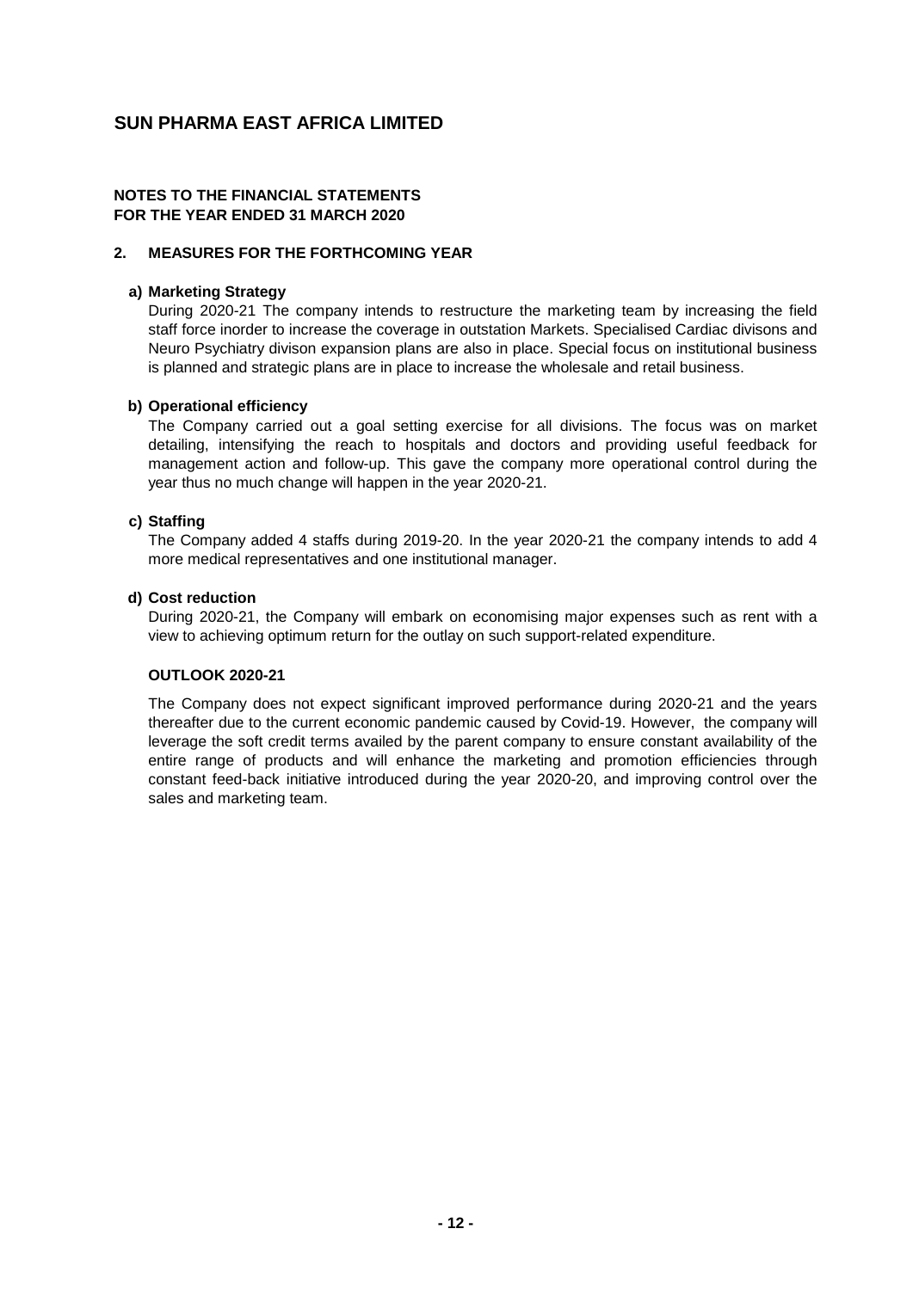#### **NOTES TO THE FINANCIAL STATEMENTS FOR THE YEAR ENDED 31 MARCH 2020**

#### **2. MEASURES FOR THE FORTHCOMING YEAR**

#### **a) Marketing Strategy**

During 2020-21 The company intends to restructure the marketing team by increasing the field staff force inorder to increase the coverage in outstation Markets. Specialised Cardiac divisons and Neuro Psychiatry divison expansion plans are also in place. Special focus on institutional business is planned and strategic plans are in place to increase the wholesale and retail business.

#### **b) Operational efficiency**

The Company carried out a goal setting exercise for all divisions. The focus was on market detailing, intensifying the reach to hospitals and doctors and providing useful feedback for management action and follow-up. This gave the company more operational control during the year thus no much change will happen in the year 2020-21.

#### **c) Staffing**

The Company added 4 staffs during 2019-20. In the year 2020-21 the company intends to add 4 more medical representatives and one institutional manager.

#### **d) Cost reduction**

During 2020-21, the Company will embark on economising major expenses such as rent with a view to achieving optimum return for the outlay on such support-related expenditure.

#### **OUTLOOK 2020-21**

The Company does not expect significant improved performance during 2020-21 and the years thereafter due to the current economic pandemic caused by Covid-19. However, the company will leverage the soft credit terms availed by the parent company to ensure constant availability of the entire range of products and will enhance the marketing and promotion efficiencies through constant feed-back initiative introduced during the year 2020-20, and improving control over the sales and marketing team.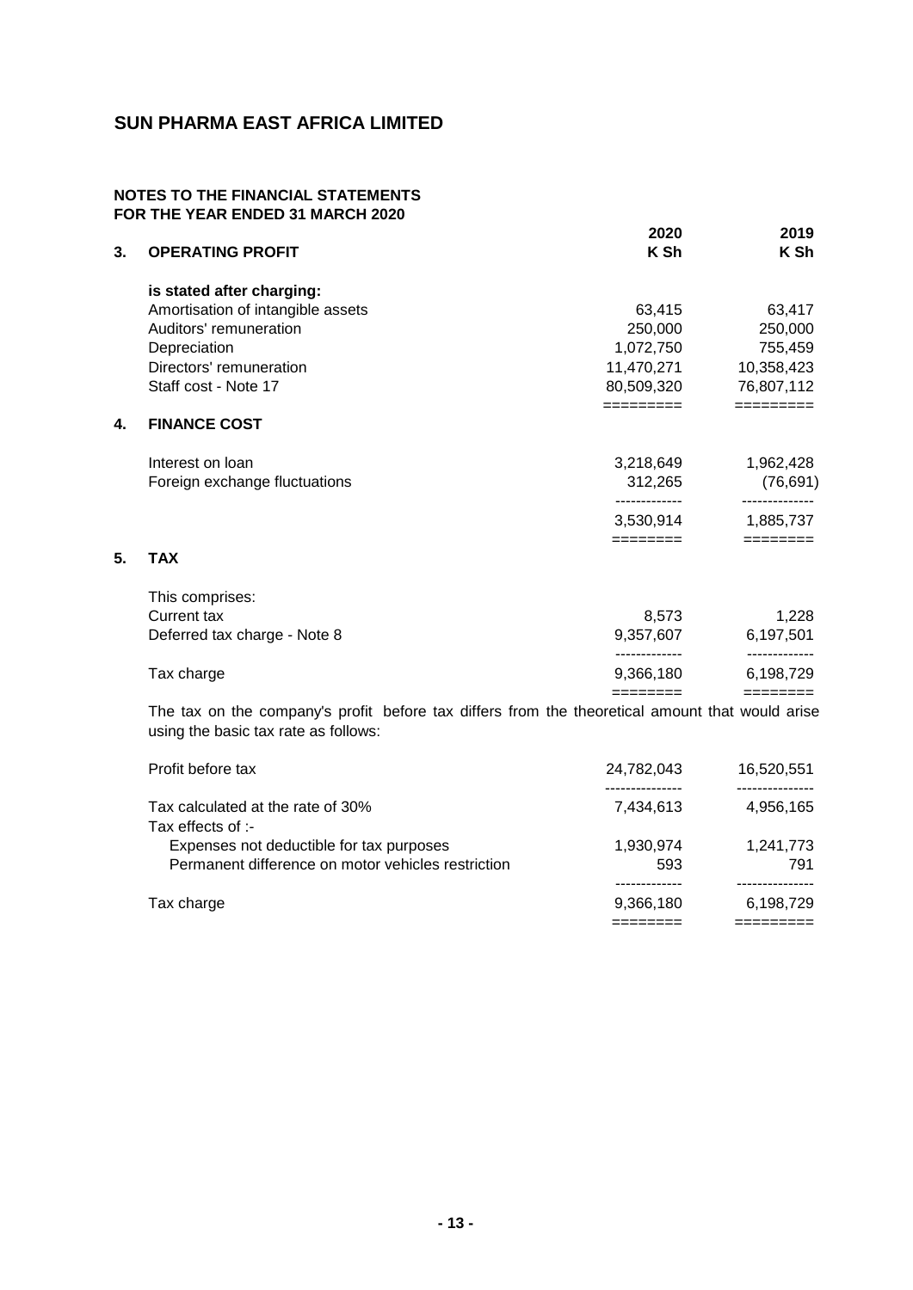#### **NOTES TO THE FINANCIAL STATEMENTS FOR THE YEAR ENDED 31 MARCH 2020**

|    |                                   | 2020       | 2019       |
|----|-----------------------------------|------------|------------|
| 3. | <b>OPERATING PROFIT</b>           | K Sh       | K Sh       |
|    | is stated after charging:         |            |            |
|    | Amortisation of intangible assets | 63,415     | 63,417     |
|    | Auditors' remuneration            | 250,000    | 250,000    |
|    | Depreciation                      | 1,072,750  | 755,459    |
|    | Directors' remuneration           | 11,470,271 | 10,358,423 |
|    | Staff cost - Note 17              | 80,509,320 | 76,807,112 |
|    |                                   | =========  | =========  |
| 4. | <b>FINANCE COST</b>               |            |            |
|    | Interest on loan                  | 3,218,649  | 1,962,428  |
|    | Foreign exchange fluctuations     | 312,265    | (76, 691)  |
|    |                                   | 3,530,914  | 1,885,737  |
|    |                                   | ========   | ========   |
| 5. | <b>TAX</b>                        |            |            |
|    | This comprises:                   |            |            |
|    | Current tax                       | 8,573      | 1,228      |
|    | Deferred tax charge - Note 8      | 9,357,607  | 6,197,501  |
|    | Tax charge                        | 9,366,180  | 6,198,729  |

The tax on the company's profit before tax differs from the theoretical amount that would arise using the basic tax rate as follows:

======== ========

| Profit before tax                                  | 24,782,043 | 16,520,551 |
|----------------------------------------------------|------------|------------|
| Tax calculated at the rate of 30%                  | 7.434.613  | 4,956,165  |
| Tax effects of :-                                  |            |            |
| Expenses not deductible for tax purposes           | 1,930,974  | 1,241,773  |
| Permanent difference on motor vehicles restriction | 593        | 791        |
|                                                    |            |            |
| Tax charge                                         | 9,366,180  | 6,198,729  |
|                                                    |            |            |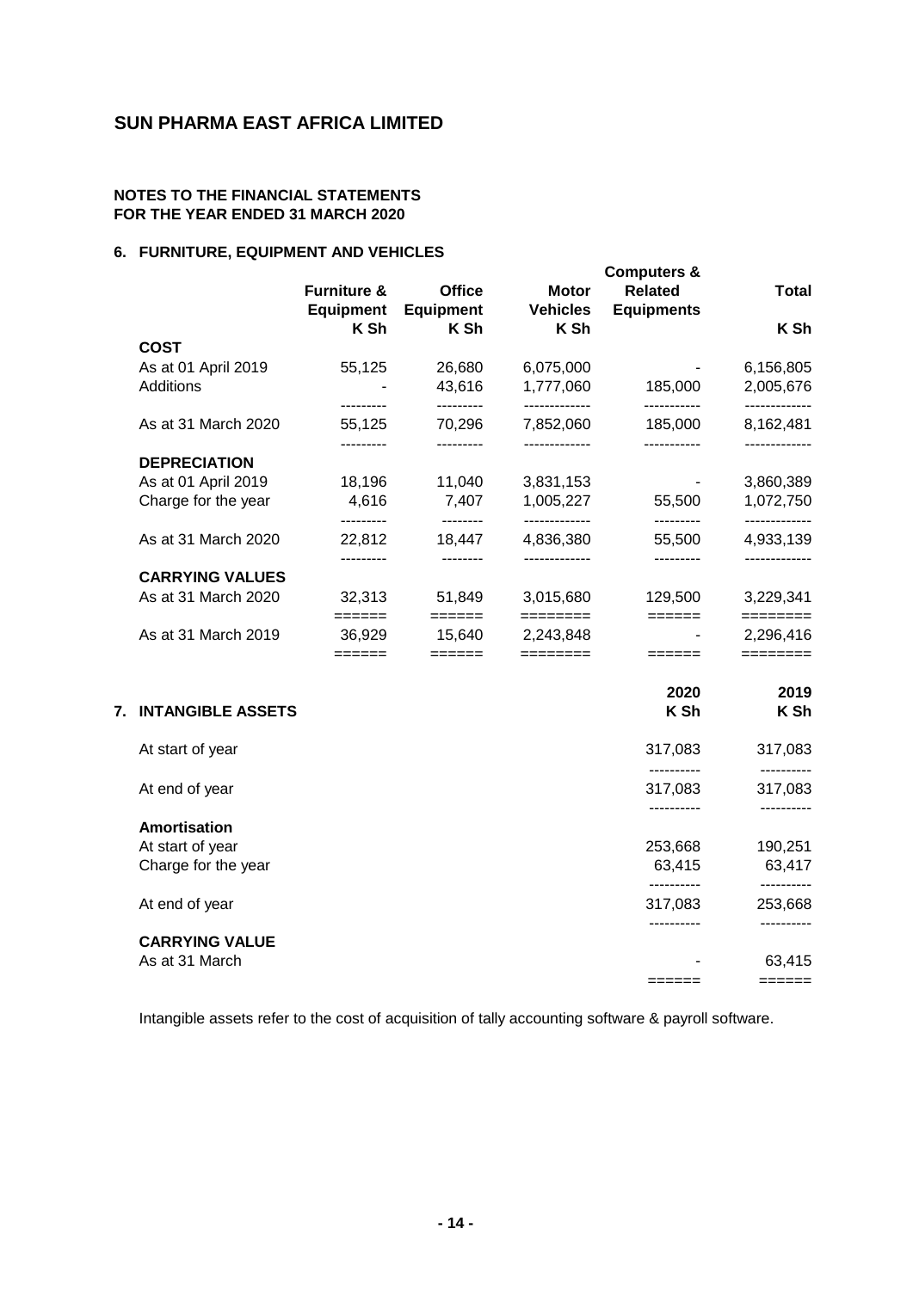### **NOTES TO THE FINANCIAL STATEMENTS FOR THE YEAR ENDED 31 MARCH 2020**

### **6. FURNITURE, EQUIPMENT AND VEHICLES**

|    | <b>I ONNI ONE, EQUILMENT AND VEHICLES</b><br><b>Computers &amp;</b> |                                            |                                   |                                 |                                     |                            |
|----|---------------------------------------------------------------------|--------------------------------------------|-----------------------------------|---------------------------------|-------------------------------------|----------------------------|
|    |                                                                     | <b>Furniture &amp;</b><br><b>Equipment</b> | <b>Office</b><br><b>Equipment</b> | <b>Motor</b><br><b>Vehicles</b> | <b>Related</b><br><b>Equipments</b> | Total                      |
|    |                                                                     | K Sh                                       | K Sh                              | K Sh                            |                                     | K Sh                       |
|    | <b>COST</b><br>As at 01 April 2019                                  | 55,125                                     | 26,680                            | 6,075,000                       |                                     | 6,156,805                  |
|    | Additions                                                           | ---------                                  | 43,616<br>---------               | 1,777,060<br>-------------      | 185,000<br>-----------              | 2,005,676<br>------------- |
|    | As at 31 March 2020                                                 | 55,125<br>---------                        | 70,296<br>---------               | 7,852,060<br>-------------      | 185,000<br>-----------              | 8,162,481                  |
|    | <b>DEPRECIATION</b>                                                 |                                            |                                   |                                 |                                     |                            |
|    | As at 01 April 2019                                                 | 18,196                                     | 11,040                            | 3,831,153                       |                                     | 3,860,389                  |
|    | Charge for the year                                                 | 4,616<br>                                  | 7,407<br>--------                 | 1,005,227<br>-------------      | 55,500<br>---------                 | 1,072,750<br>------------- |
|    | As at 31 March 2020                                                 | 22,812                                     | 18,447                            | 4,836,380                       | 55,500                              | 4,933,139                  |
|    | <b>CARRYING VALUES</b>                                              | ---------                                  | --------                          | -------------                   | ---------                           | -------------              |
|    | As at 31 March 2020                                                 | 32,313                                     | 51,849                            | 3,015,680                       | 129,500                             | 3,229,341                  |
|    | As at 31 March 2019                                                 | ======<br>36,929                           | ======<br>15,640                  | ========<br>2,243,848           | ======                              | ========<br>2,296,416      |
|    |                                                                     | ======                                     | ======                            | ========                        | ======                              | ========                   |
| 7. | <b>INTANGIBLE ASSETS</b>                                            |                                            |                                   |                                 | 2020<br>K Sh                        | 2019<br>K Sh               |
|    | At start of year                                                    |                                            |                                   |                                 | 317,083                             | 317,083                    |
|    |                                                                     |                                            |                                   |                                 | ----------                          | ----------                 |
|    | At end of year                                                      |                                            |                                   |                                 | 317,083<br>----------               | 317,083<br>---------       |
|    | <b>Amortisation</b>                                                 |                                            |                                   |                                 |                                     |                            |
|    | At start of year                                                    |                                            |                                   |                                 | 253,668                             | 190,251                    |
|    | Charge for the year                                                 |                                            |                                   |                                 | 63,415<br>----------                | 63,417<br>----------       |
|    | At end of year                                                      |                                            |                                   |                                 | 317,083                             | 253,668                    |
|    | <b>CARRYING VALUE</b>                                               |                                            |                                   |                                 |                                     |                            |
|    | As at 31 March                                                      |                                            |                                   |                                 | =====                               | 63,415<br>======           |
|    |                                                                     |                                            |                                   |                                 |                                     |                            |

Intangible assets refer to the cost of acquisition of tally accounting software & payroll software.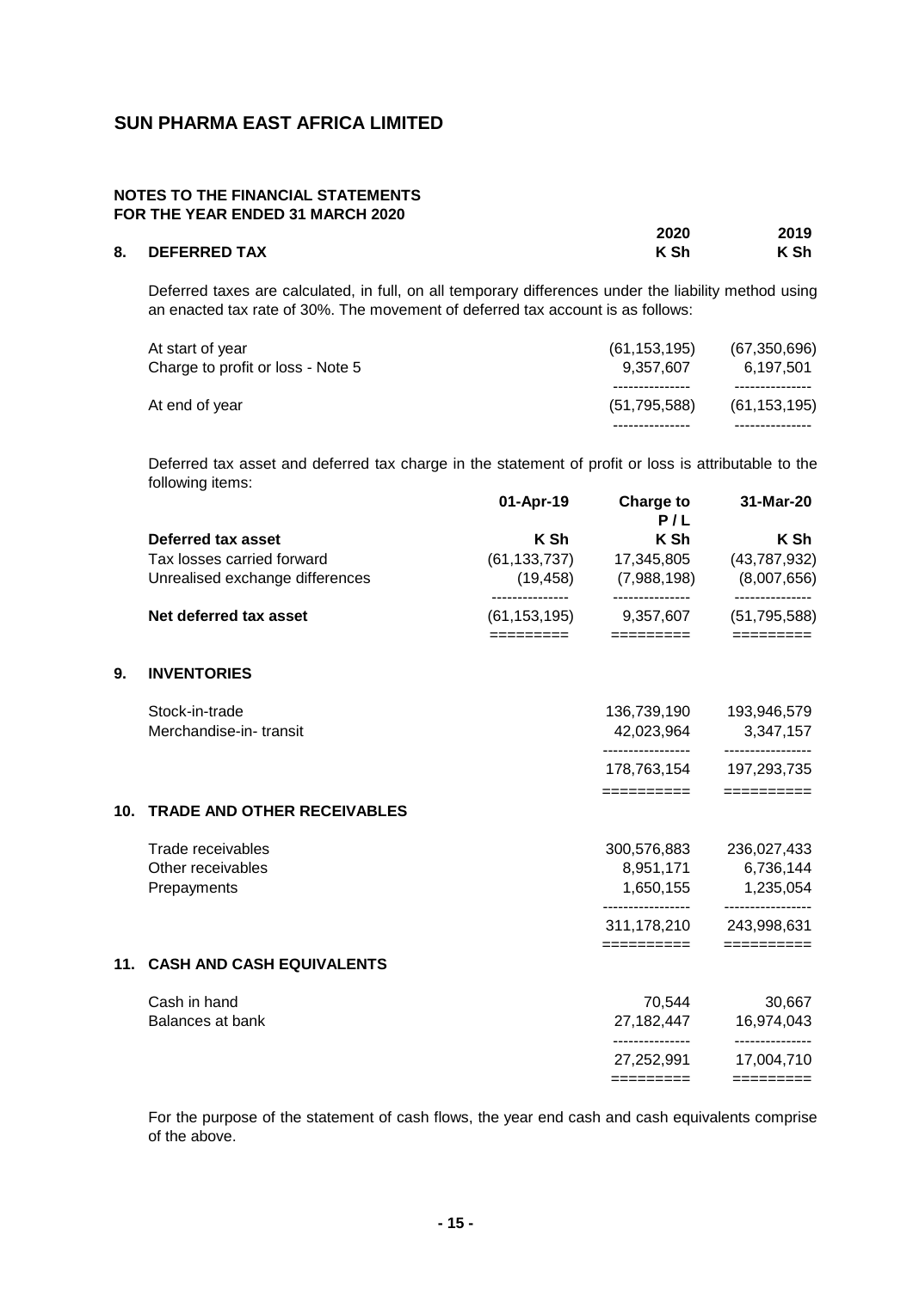### **NOTES TO THE FINANCIAL STATEMENTS FOR THE YEAR ENDED 31 MARCH 2020**

|                 | 2020 | 2019 |
|-----------------|------|------|
| 8. DEFERRED TAX | K Sh | K Sh |

Deferred taxes are calculated, in full, on all temporary differences under the liability method using an enacted tax rate of 30%. The movement of deferred tax account is as follows:

| At start of year                  | (61, 153, 195) | (67, 350, 696) |
|-----------------------------------|----------------|----------------|
| Charge to profit or loss - Note 5 | 9.357.607      | 6.197.501      |
| At end of year                    | (51.795.588)   | (61, 153, 195) |

Deferred tax asset and deferred tax charge in the statement of profit or loss is attributable to the following items:

|                                           | 01-Apr-19                   | Charge to<br>P/L               | 31-Mar-20                                                                                                                                                                                                                                                                                                                                                                                                                                                                                                                                                                              |
|-------------------------------------------|-----------------------------|--------------------------------|----------------------------------------------------------------------------------------------------------------------------------------------------------------------------------------------------------------------------------------------------------------------------------------------------------------------------------------------------------------------------------------------------------------------------------------------------------------------------------------------------------------------------------------------------------------------------------------|
| Deferred tax asset                        | K Sh                        | K Sh                           | K Sh                                                                                                                                                                                                                                                                                                                                                                                                                                                                                                                                                                                   |
| Tax losses carried forward                | (61, 133, 737)              | 17,345,805                     | (43,787,932)                                                                                                                                                                                                                                                                                                                                                                                                                                                                                                                                                                           |
| Unrealised exchange differences           | (19, 458)                   | (7,988,198)<br>--------------- | (8,007,656)<br>----------                                                                                                                                                                                                                                                                                                                                                                                                                                                                                                                                                              |
| Net deferred tax asset                    | (61, 153, 195)<br>========= | 9,357,607<br>$=$ ========      | (51, 795, 588)<br>=========                                                                                                                                                                                                                                                                                                                                                                                                                                                                                                                                                            |
| 9.<br><b>INVENTORIES</b>                  |                             |                                |                                                                                                                                                                                                                                                                                                                                                                                                                                                                                                                                                                                        |
| Stock-in-trade                            |                             | 136,739,190                    | 193,946,579                                                                                                                                                                                                                                                                                                                                                                                                                                                                                                                                                                            |
| Merchandise-in-transit                    |                             | 42,023,964<br>---------------  | 3,347,157                                                                                                                                                                                                                                                                                                                                                                                                                                                                                                                                                                              |
|                                           |                             | 178,763,154                    | --------------<br>197,293,735                                                                                                                                                                                                                                                                                                                                                                                                                                                                                                                                                          |
| <b>TRADE AND OTHER RECEIVABLES</b><br>10. |                             | ==========                     | $\qquad \qquad \overbrace{\qquad \qquad }=\qquad \qquad \overbrace{\qquad \qquad }=\qquad \qquad \overbrace{\qquad \qquad }=\qquad \qquad \overbrace{\qquad \qquad }=\qquad \qquad \overbrace{\qquad \qquad }=\qquad \qquad \overbrace{\qquad \qquad }=\qquad \qquad \overbrace{\qquad \qquad }=\qquad \qquad \overbrace{\qquad \qquad }=\qquad \qquad \overbrace{\qquad \qquad }=\qquad \qquad \overbrace{\qquad \qquad }=\qquad \qquad \overbrace{\qquad \qquad }=\qquad \qquad \overbrace{\qquad \qquad }=\qquad \qquad \overbrace{\qquad \qquad }=\qquad \qquad \overbrace{\qquad$ |
| Trade receivables                         |                             | 300,576,883                    | 236,027,433                                                                                                                                                                                                                                                                                                                                                                                                                                                                                                                                                                            |
| Other receivables                         |                             | 8,951,171                      | 6,736,144                                                                                                                                                                                                                                                                                                                                                                                                                                                                                                                                                                              |
| Prepayments                               |                             | 1,650,155                      | 1,235,054                                                                                                                                                                                                                                                                                                                                                                                                                                                                                                                                                                              |
|                                           |                             | ------------<br>311,178,210    | --------------<br>243,998,631                                                                                                                                                                                                                                                                                                                                                                                                                                                                                                                                                          |
| <b>CASH AND CASH EQUIVALENTS</b><br>11.   |                             | ==========                     | ==========                                                                                                                                                                                                                                                                                                                                                                                                                                                                                                                                                                             |
| Cash in hand                              |                             | 70,544                         | 30,667                                                                                                                                                                                                                                                                                                                                                                                                                                                                                                                                                                                 |
| Balances at bank                          |                             | 27,182,447                     | 16,974,043                                                                                                                                                                                                                                                                                                                                                                                                                                                                                                                                                                             |
|                                           |                             | 27,252,991                     | 17,004,710                                                                                                                                                                                                                                                                                                                                                                                                                                                                                                                                                                             |
|                                           |                             | $=$ ========                   | =========                                                                                                                                                                                                                                                                                                                                                                                                                                                                                                                                                                              |

For the purpose of the statement of cash flows, the year end cash and cash equivalents comprise of the above.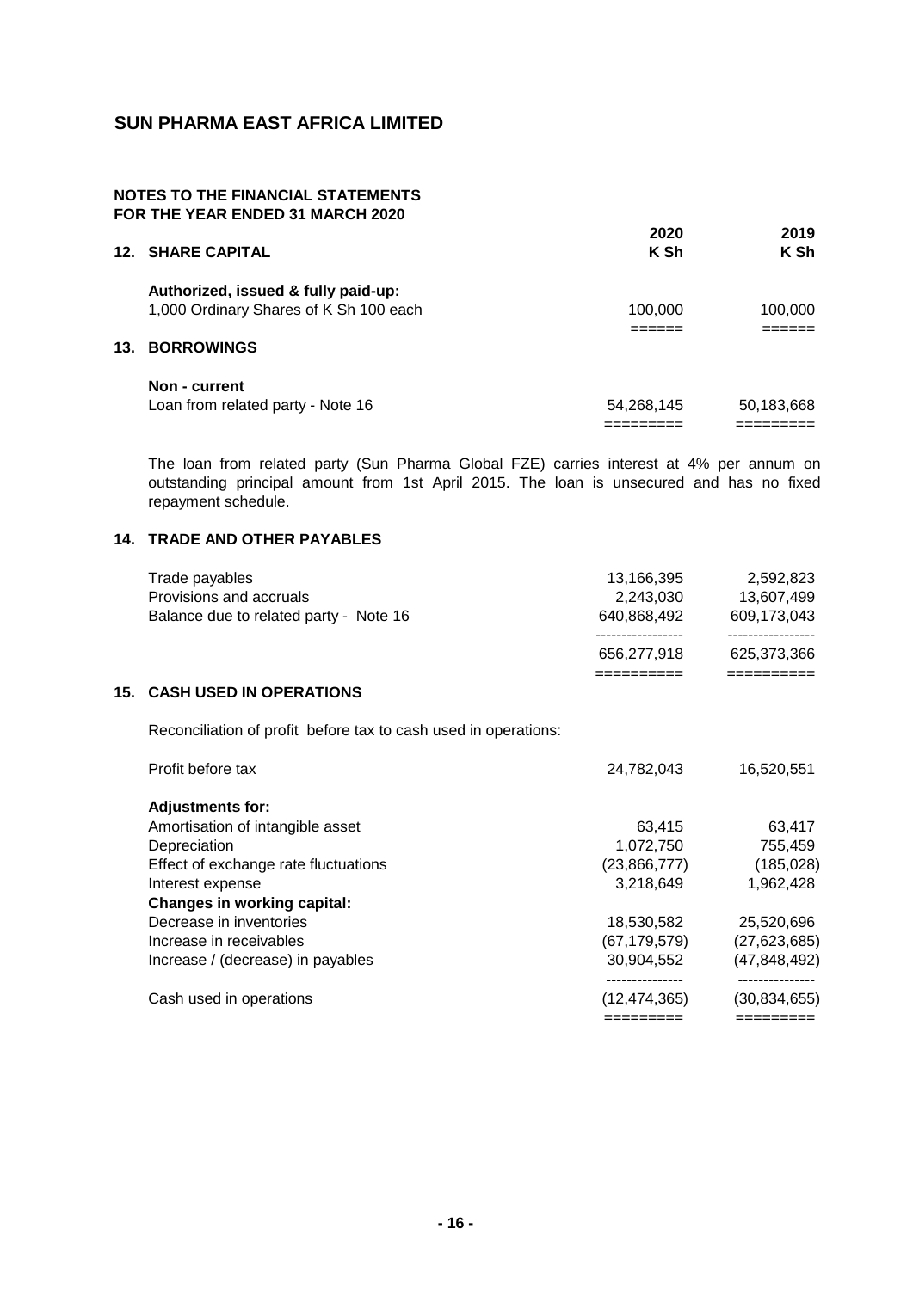### **NOTES TO THE FINANCIAL STATEMENTS FOR THE YEAR ENDED 31 MARCH 2020**

| <b>12. SHARE CAPITAL</b>               | 2020<br>K Sh | 2019<br>K Sh |
|----------------------------------------|--------------|--------------|
| Authorized, issued & fully paid-up:    |              |              |
| 1,000 Ordinary Shares of K Sh 100 each | 100.000      | 100,000      |
| <b>13. BORROWINGS</b>                  |              |              |
| Non - current                          |              |              |
| Loan from related party - Note 16      | 54,268,145   | 50,183,668   |
|                                        |              |              |

The loan from related party (Sun Pharma Global FZE) carries interest at 4% per annum on outstanding principal amount from 1st April 2015. The loan is unsecured and has no fixed repayment schedule.

### **14. TRADE AND OTHER PAYABLES**

| Trade payables<br>Provisions and accruals<br>Balance due to related party - Note 16 | 13,166,395<br>2,243,030<br>640,868,492 | 2,592,823<br>13,607,499<br>609,173,043 |
|-------------------------------------------------------------------------------------|----------------------------------------|----------------------------------------|
|                                                                                     | 656,277,918                            | --------------<br>625,373,366          |
| 15. CASH USED IN OPERATIONS                                                         | ==========                             | ==========                             |
| Reconciliation of profit before tax to cash used in operations:                     |                                        |                                        |
| Profit before tax                                                                   | 24,782,043                             | 16,520,551                             |
| <b>Adjustments for:</b>                                                             |                                        |                                        |
| Amortisation of intangible asset                                                    | 63,415                                 | 63,417                                 |
| Depreciation                                                                        | 1,072,750                              | 755,459                                |
| Effect of exchange rate fluctuations                                                | (23,866,777)                           | (185, 028)                             |
| Interest expense                                                                    | 3,218,649                              | 1,962,428                              |
| <b>Changes in working capital:</b>                                                  |                                        |                                        |
| Decrease in inventories                                                             | 18,530,582                             | 25,520,696                             |
| Increase in receivables                                                             | (67,179,579)                           | (27, 623, 685)                         |
| Increase / (decrease) in payables                                                   | 30,904,552                             | (47, 848, 492)                         |
| Cash used in operations                                                             | .<br>(12,474,365)                      | -------------<br>(30, 834, 655)        |
|                                                                                     | =========                              | =========                              |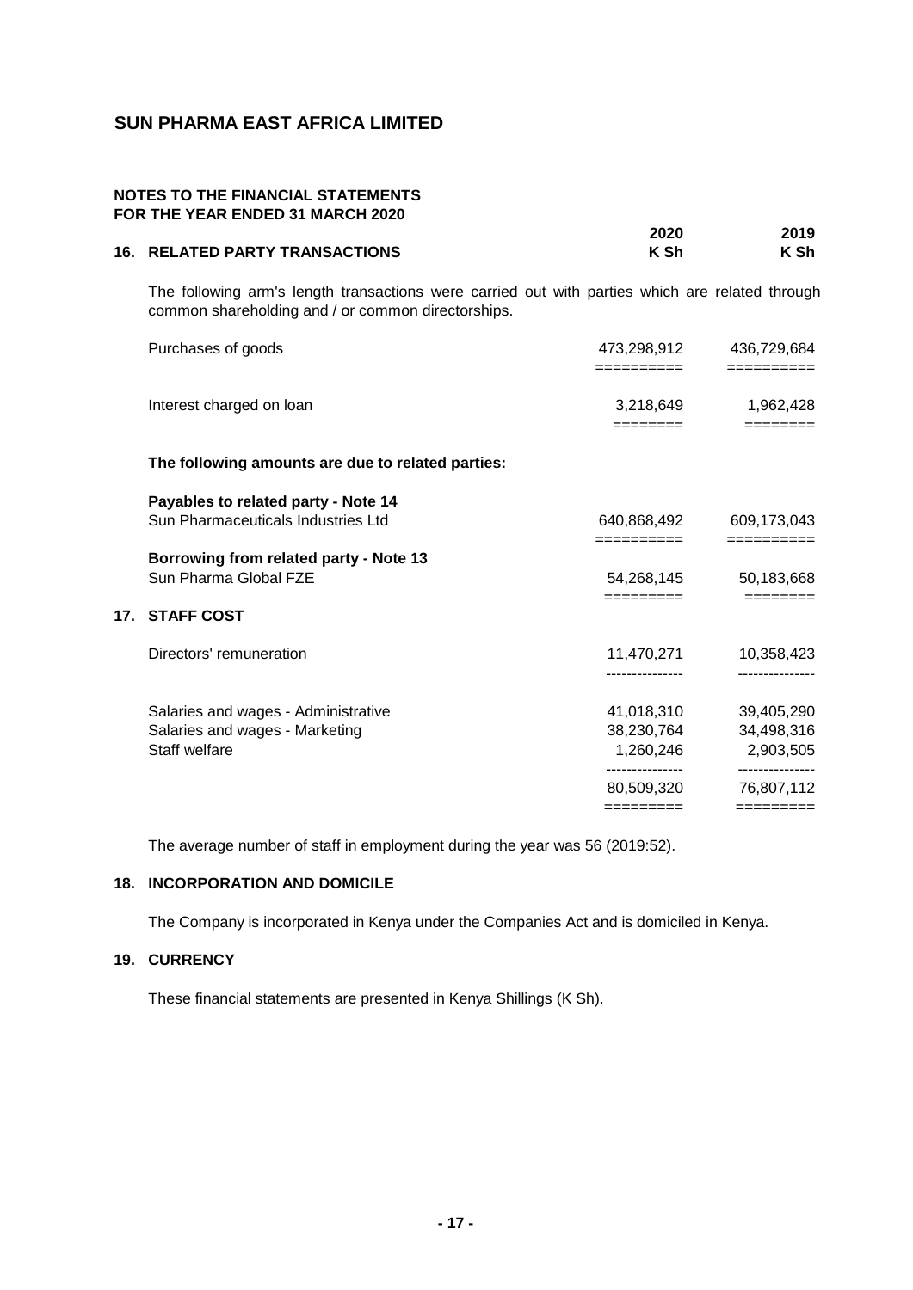### **NOTES TO THE FINANCIAL STATEMENTS FOR THE YEAR ENDED 31 MARCH 2020**

| <b>16. RELATED PARTY TRANSACTIONS</b>                                                                                                                 | 2020<br>K Sh                          | 2019<br>K Sh                          |
|-------------------------------------------------------------------------------------------------------------------------------------------------------|---------------------------------------|---------------------------------------|
| The following arm's length transactions were carried out with parties which are related through<br>common shareholding and / or common directorships. |                                       |                                       |
| Purchases of goods                                                                                                                                    | 473,298,912<br>==========             | 436,729,684<br>==========             |
| Interest charged on loan                                                                                                                              | 3,218,649<br>========                 | 1,962,428                             |
| The following amounts are due to related parties:                                                                                                     |                                       |                                       |
| Payables to related party - Note 14<br>Sun Pharmaceuticals Industries Ltd                                                                             | 640,868,492<br>==========             | 609,173,043                           |
| Borrowing from related party - Note 13<br>Sun Pharma Global FZE                                                                                       | 54.268.145                            | 50.183.668                            |
| 17. STAFF COST                                                                                                                                        | =========                             | $=$ =======                           |
| Directors' remuneration                                                                                                                               | 11,470,271<br>---------------         | 10,358,423<br>-------------           |
| Salaries and wages - Administrative<br>Salaries and wages - Marketing<br>Staff welfare                                                                | 41,018,310<br>38,230,764<br>1,260,246 | 39,405,290<br>34,498,316<br>2,903,505 |
|                                                                                                                                                       | ---------------<br>80,509,320         | -----------<br>76,807,112             |
|                                                                                                                                                       | $=$ ========                          | $=$ ========                          |

The average number of staff in employment during the year was 56 (2019:52).

### **18. INCORPORATION AND DOMICILE**

The Company is incorporated in Kenya under the Companies Act and is domiciled in Kenya.

### **19. CURRENCY**

These financial statements are presented in Kenya Shillings (K Sh).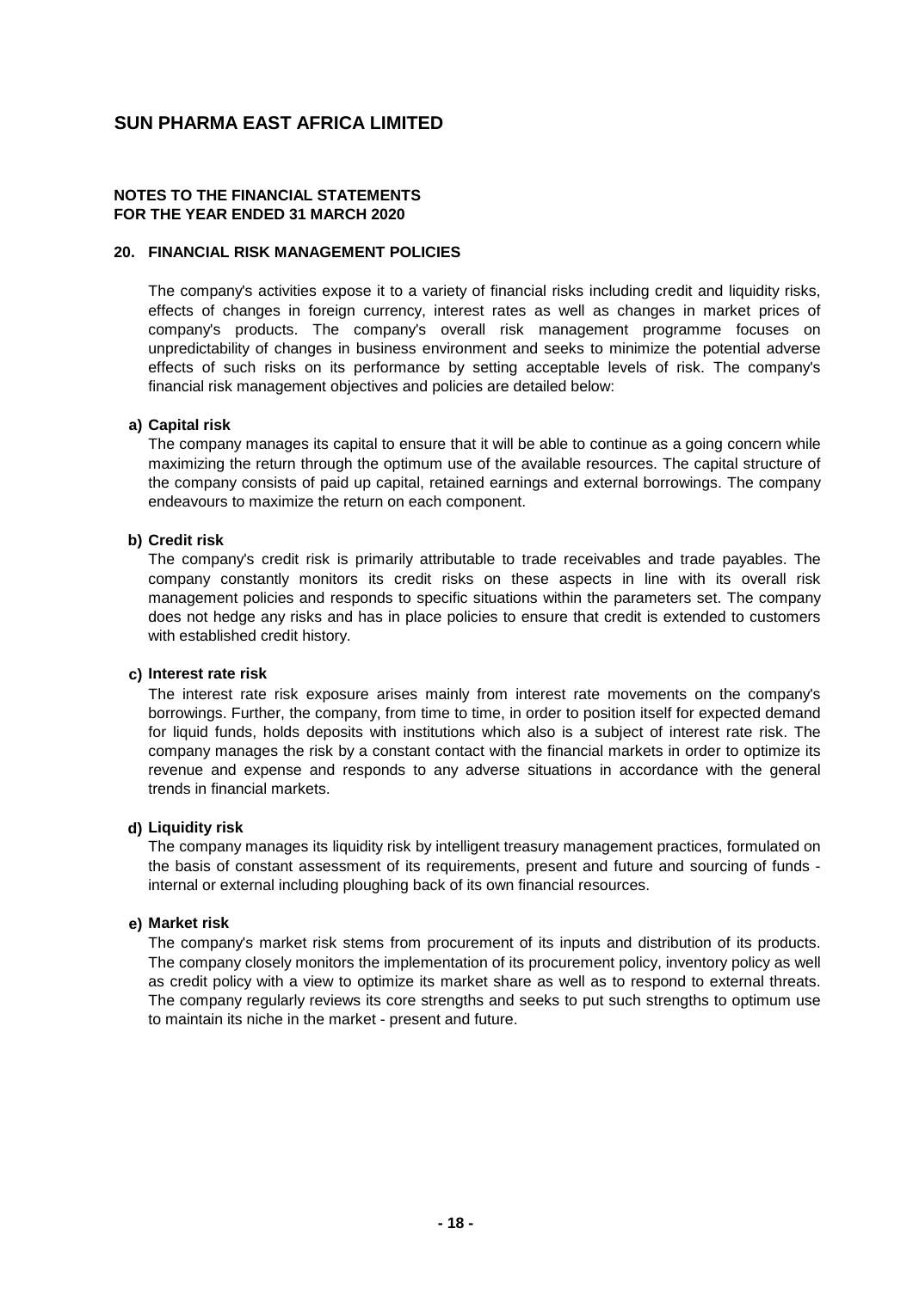### **NOTES TO THE FINANCIAL STATEMENTS FOR THE YEAR ENDED 31 MARCH 2020**

#### **20. FINANCIAL RISK MANAGEMENT POLICIES**

The company's activities expose it to a variety of financial risks including credit and liquidity risks, effects of changes in foreign currency, interest rates as well as changes in market prices of company's products. The company's overall risk management programme focuses on unpredictability of changes in business environment and seeks to minimize the potential adverse effects of such risks on its performance by setting acceptable levels of risk. The company's financial risk management objectives and policies are detailed below:

#### **a) Capital risk**

The company manages its capital to ensure that it will be able to continue as a going concern while maximizing the return through the optimum use of the available resources. The capital structure of the company consists of paid up capital, retained earnings and external borrowings. The company endeavours to maximize the return on each component.

#### **b) Credit risk**

The company's credit risk is primarily attributable to trade receivables and trade payables. The company constantly monitors its credit risks on these aspects in line with its overall risk management policies and responds to specific situations within the parameters set. The company does not hedge any risks and has in place policies to ensure that credit is extended to customers with established credit history.

#### **c) Interest rate risk**

The interest rate risk exposure arises mainly from interest rate movements on the company's borrowings. Further, the company, from time to time, in order to position itself for expected demand for liquid funds, holds deposits with institutions which also is a subject of interest rate risk. The company manages the risk by a constant contact with the financial markets in order to optimize its revenue and expense and responds to any adverse situations in accordance with the general trends in financial markets.

#### **d) Liquidity risk**

The company manages its liquidity risk by intelligent treasury management practices, formulated on the basis of constant assessment of its requirements, present and future and sourcing of funds internal or external including ploughing back of its own financial resources.

#### **e) Market risk**

The company's market risk stems from procurement of its inputs and distribution of its products. The company closely monitors the implementation of its procurement policy, inventory policy as well as credit policy with a view to optimize its market share as well as to respond to external threats. The company regularly reviews its core strengths and seeks to put such strengths to optimum use to maintain its niche in the market - present and future.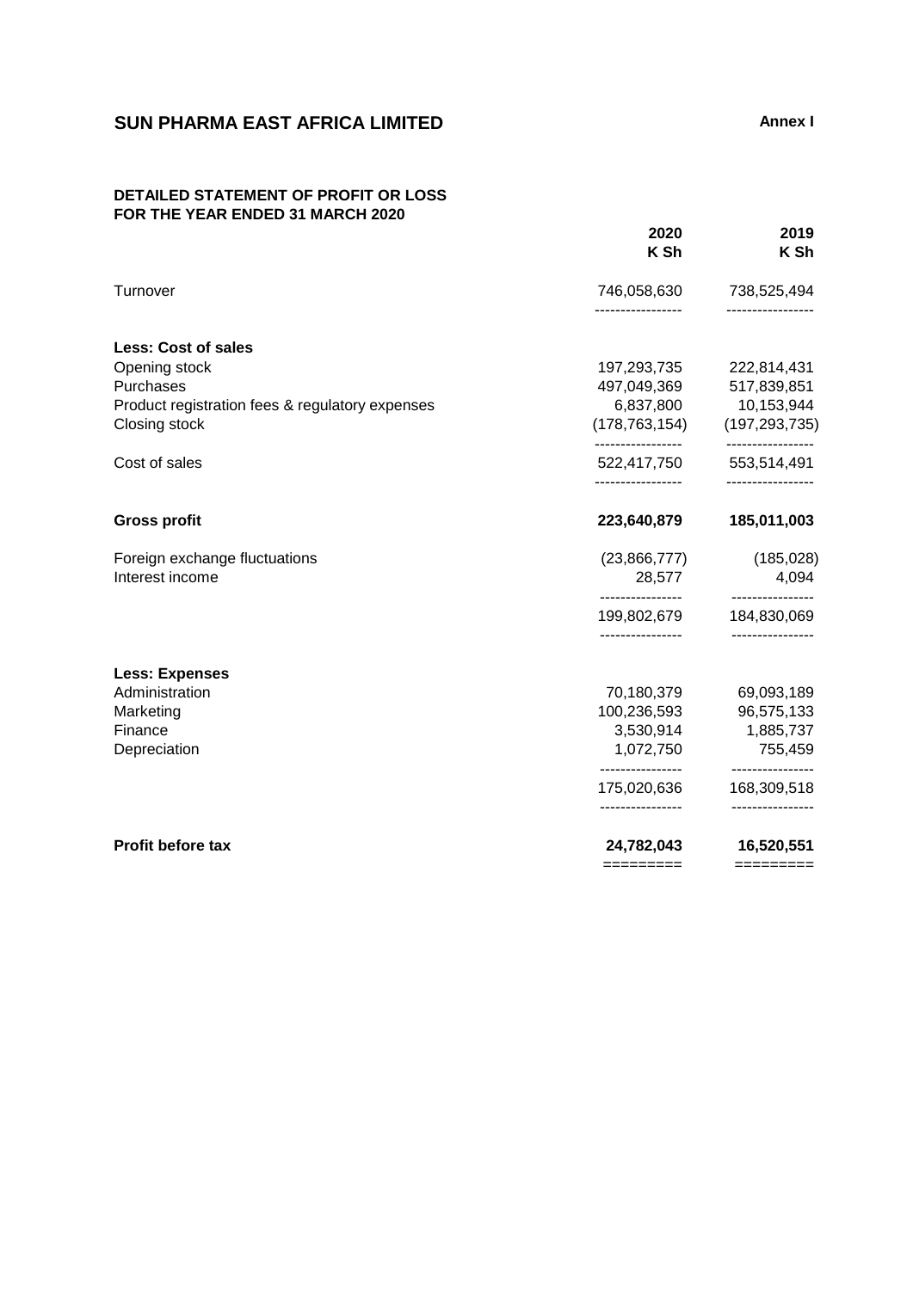## **SUN PHARMA EAST AFRICA LIMITED Annex I**

### **DETAILED STATEMENT OF PROFIT OR LOSS FOR THE YEAR ENDED 31 MARCH 2020**

|                                                  | 2020<br>K Sh                                        | 2019<br>K Sh                                                   |
|--------------------------------------------------|-----------------------------------------------------|----------------------------------------------------------------|
| Turnover                                         | -----------------                                   | 746,058,630 738,525,494<br>-----------------                   |
| <b>Less: Cost of sales</b>                       |                                                     |                                                                |
| Opening stock                                    | 197,293,735                                         | 222,814,431                                                    |
| Purchases                                        | 497,049,369                                         | 517,839,851                                                    |
| Product registration fees & regulatory expenses  | 6,837,800                                           | 10,153,944                                                     |
| Closing stock                                    | (178, 763, 154)                                     | (197, 293, 735)                                                |
| Cost of sales                                    | -----------------<br>-----------------              | --------------<br>522,417,750 553,514,491<br>----------------- |
| <b>Gross profit</b>                              | 223,640,879                                         | 185,011,003                                                    |
| Foreign exchange fluctuations<br>Interest income | (23,866,777)<br>28,577                              | (185, 028)<br>4,094                                            |
|                                                  | ----------------<br>199,802,679<br>---------------- | --------------<br>184,830,069<br>--------------                |
| <b>Less: Expenses</b>                            |                                                     |                                                                |
| Administration                                   | 70,180,379                                          | 69,093,189                                                     |
| Marketing                                        | 100,236,593                                         | 96,575,133                                                     |
| Finance                                          | 3,530,914                                           | 1,885,737                                                      |
| Depreciation                                     | 1,072,750                                           | 755,459                                                        |
|                                                  | ---------------<br>175,020,636<br>----------------  | --------------<br>168,309,518<br>----------------              |
| Profit before tax                                | 24,782,043                                          | 16,520,551                                                     |
|                                                  | =========                                           | $=$ ========                                                   |